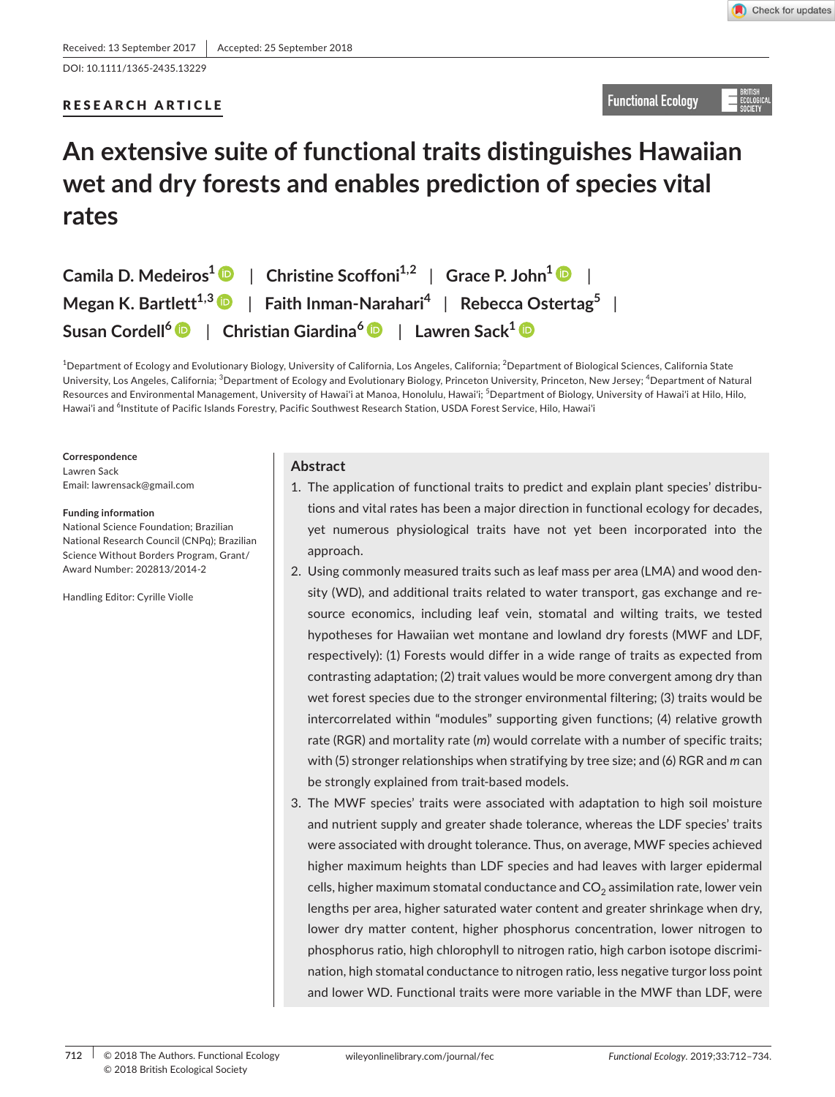DOI: 10.1111/1365-2435.13229

## RESEARCH ARTICLE

**Functional Ecology** 

# **An extensive suite of functional traits distinguishes Hawaiian wet and dry forests and enables prediction of species vital rates**

| Camila D. Medeiros <sup>1</sup> $\bullet$   Christine Scoffoni <sup>1,2</sup>   Grace P. John <sup>1</sup> $\bullet$ |
|----------------------------------------------------------------------------------------------------------------------|
| Megan K. Bartlett <sup>1,3</sup> $\bullet$   Faith Inman-Narahari <sup>4</sup>   Rebecca Ostertag <sup>5</sup>       |
| Susan Cordell <sup>6</sup> D   Christian Giardina <sup>6</sup> D   Lawren Sack <sup>1</sup> D                        |

 $^4$ Department of Ecology and Evolutionary Biology, University of California, Los Angeles, California;  $^2$ Department of Biological Sciences, California State University, Los Angeles, California; <sup>3</sup>Department of Ecology and Evolutionary Biology, Princeton University, Princeton, New Jersey; <sup>4</sup>Department of Natural Hawai'i and <sup>6</sup>Institute of Pacific Islands Forestry, Pacific Southwest Research Station, USDA Forest Service, Hilo, Hawai'i Resources and Environmental Management, University of Hawai'i at Manoa, Honolulu, Hawai'i; <sup>5</sup>Department of Biology, University of Hawai'i at Hilo, Hilo,

**Correspondence**  Lawren Sack

Email: [lawrensack@gmail.com](mailto:lawrensack@gmail.com) 

#### **Funding information**

National Science Foundation; Brazilian National Research Council (CNPq); Brazilian Science Without Borders Program, Grant/ Award Number: 202813/2014-2

Handling Editor: Cyrille Violle

## **Abstract**

- 1. The application of functional traits to predict and explain plant species' distributions and vital rates has been a major direction in functional ecology for decades, yet numerous physiological traits have not yet been incorporated into the approach.
- Number: 202813/2014-2 2. Using commonly measured traits such as leaf mass per area (LMA) and wood den- intercorrelated within "modules" supporting given functions; (4) relative growth with (5) stronger relationships when stratifying by tree size; and (6) RGR and *m* can be strongly explained from trait-based models. sity (WD), and additional traits related to water transport, gas exchange and resource economics, including leaf vein, stomatal and wilting traits, we tested hypotheses for Hawaiian wet montane and lowland dry forests (MWF and LDF, respectively): (1) Forests would differ in a wide range of traits as expected from contrasting adaptation; (2) trait values would be more convergent among dry than wet forest species due to the stronger environmental filtering; (3) traits would be rate (RGR) and mortality rate (*m*) would correlate with a number of specific traits;
	- 3. The MWF species' traits were associated with adaptation to high soil moisture and nutrient supply and greater shade tolerance, whereas the LDF species' traits were associated with drought tolerance. Thus, on average, MWF species achieved higher maximum heights than LDF species and had leaves with larger epidermal cells, higher maximum stomatal conductance and  $CO<sub>2</sub>$  assimilation rate, lower vein lengths per area, higher saturated water content and greater shrinkage when dry, lower dry matter content, higher phosphorus concentration, lower nitrogen to phosphorus ratio, high chlorophyll to nitrogen ratio, high carbon isotope discrimination, high stomatal conductance to nitrogen ratio, less negative turgor loss point and lower WD. Functional traits were more variable in the MWF than LDF, were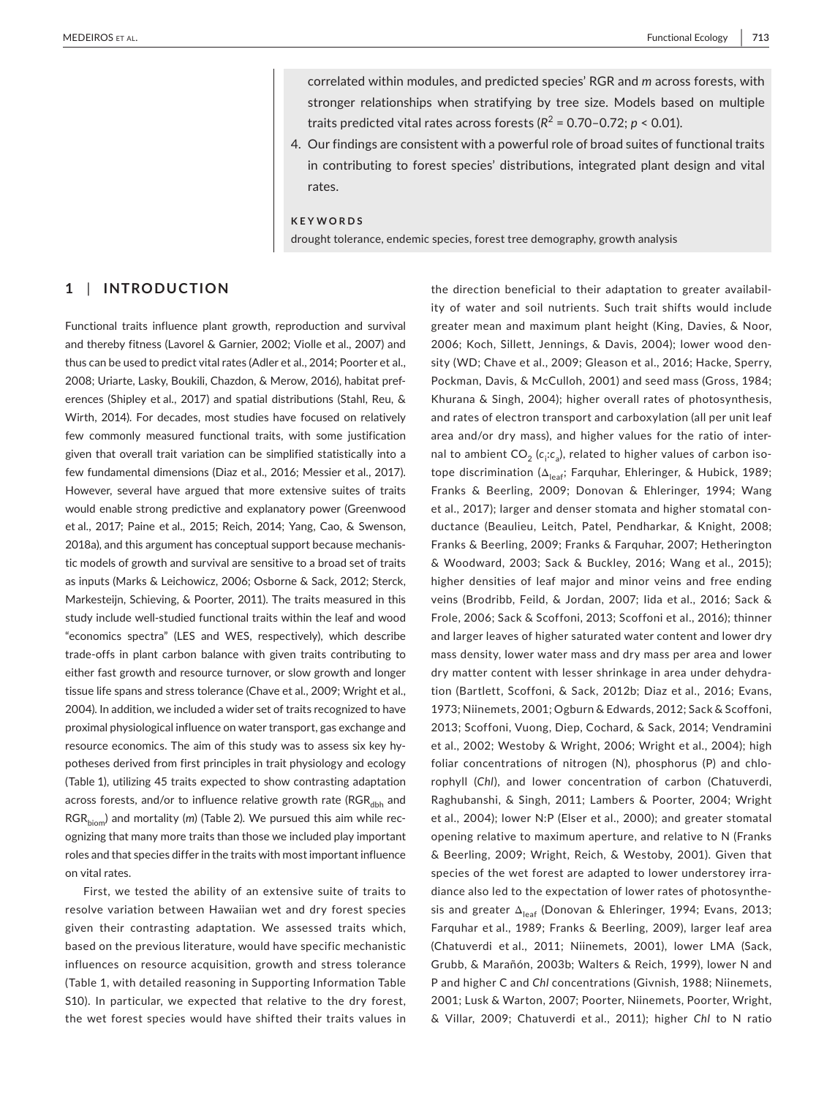traits predicted vital rates across forests ( $R^2$  = [0.70–0.72](https://0.70�0.72);  $p$  < 0.01). correlated within modules, and predicted species' RGR and *m* across forests, with stronger relationships when stratifying by tree size. Models based on multiple

 4. Our findings are consistent with a powerful role of broad suites of functional traits in contributing to forest species' distributions, integrated plant design and vital rates.

#### **KEYWORDS**

drought tolerance, endemic species, forest tree demography, growth analysis

## **1**  | **INTRODUCTION**

Functional traits influence plant growth, reproduction and survival and thereby fitness (Lavorel & Garnier, 2002; Violle et al., 2007) and thus can be used to predict vital rates (Adler et al., 2014; Poorter et al., 2008; Uriarte, Lasky, Boukili, Chazdon, & Merow, 2016), habitat preferences (Shipley et al., 2017) and spatial distributions (Stahl, Reu, & Wirth, 2014). For decades, most studies have focused on relatively few commonly measured functional traits, with some justification given that overall trait variation can be simplified statistically into a few fundamental dimensions (Diaz et al., 2016; Messier et al., 2017). However, several have argued that more extensive suites of traits would enable strong predictive and explanatory power (Greenwood et al., 2017; Paine et al., 2015; Reich, 2014; Yang, Cao, & Swenson, 2018a), and this argument has conceptual support because mechanistic models of growth and survival are sensitive to a broad set of traits as inputs (Marks & Leichowicz, 2006; Osborne & Sack, 2012; Sterck, Markesteijn, Schieving, & Poorter, 2011). The traits measured in this study include well-studied functional traits within the leaf and wood "economics spectra" (LES and WES, respectively), which describe trade-offs in plant carbon balance with given traits contributing to either fast growth and resource turnover, or slow growth and longer tissue life spans and stress tolerance (Chave et al., 2009; Wright et al., 2004). In addition, we included a wider set of traits recognized to have proximal physiological influence on water transport, gas exchange and resource economics. The aim of this study was to assess six key hypotheses derived from first principles in trait physiology and ecology (Table 1), utilizing 45 traits expected to show contrasting adaptation across forests, and/or to influence relative growth rate ( $RGR_{dbh}$  and RGR<sub>hiom</sub>) and mortality (*m*) (Table 2). We pursued this aim while recognizing that many more traits than those we included play important roles and that species differ in the traits with most important influence on vital rates.

First, we tested the ability of an extensive suite of traits to resolve variation between Hawaiian wet and dry forest species given their contrasting adaptation. We assessed traits which, based on the previous literature, would have specific mechanistic influences on resource acquisition, growth and stress tolerance (Table 1, with detailed reasoning in Supporting Information Table S10). In particular, we expected that relative to the dry forest, the wet forest species would have shifted their traits values in

 2006; Koch, Sillett, Jennings, & Davis, 2004); lower wood den- sity (WD; Chave et al., 2009; Gleason et al., 2016; Hacke, Sperry, Pockman, Davis, & McCulloh, 2001) and seed mass (Gross, 1984; Khurana & Singh, 2004); higher overall rates of photosynthesis, tope discrimination (Δ<sub>leaf</sub>; Farquhar, Ehleringer, & Hubick, 1989; Franks & Beerling, 2009; Donovan & Ehleringer, 1994; Wang Franks & Beerling, 2009; Franks & Farquhar, 2007; Hetherington & Woodward, 2003; Sack & Buckley, 2016; Wang et al., 2015); 1973; Niinemets, 2001; Ogburn & Edwards, 2012; Sack & Scoffoni, 2013; Scoffoni, Vuong, Diep, Cochard, & Sack, 2014; Vendramini et al., 2002; Westoby & Wright, 2006; Wright et al., 2004); high Raghubanshi, & Singh, 2011; Lambers & Poorter, 2004; Wright et al., 2004); lower N:P (Elser et al., 2000); and greater stomatal & Beerling, 2009; Wright, Reich, & Westoby, 2001). Given that sis and greater Δ<sub>leaf</sub> (Donovan & Ehleringer, 1994; Evans, 2013; Farquhar et al., 1989; Franks & Beerling, 2009), larger leaf area (Chatuverdi et al., 2011; Niinemets, 2001), lower LMA (Sack, Grubb, & Marañón, 2003b; Walters & Reich, 1999), lower N and P and higher C and *Chl* concentrations (Givnish, 1988; Niinemets, & Villar, 2009; Chatuverdi et al., 2011); higher *Chl* to N ratio the direction beneficial to their adaptation to greater availability of water and soil nutrients. Such trait shifts would include greater mean and maximum plant height (King, Davies, & Noor, and rates of electron transport and carboxylation (all per unit leaf area and/or dry mass), and higher values for the ratio of internal to ambient CO<sub>2</sub> (c<sub>i</sub>:c<sub>a</sub>), related to higher values of carbon isoet al., 2017); larger and denser stomata and higher stomatal conductance (Beaulieu, Leitch, Patel, Pendharkar, & Knight, 2008; higher densities of leaf major and minor veins and free ending veins (Brodribb, Feild, & Jordan, 2007; Iida et al., 2016; Sack & Frole, 2006; Sack & Scoffoni, 2013; Scoffoni et al., 2016); thinner and larger leaves of higher saturated water content and lower dry mass density, lower water mass and dry mass per area and lower dry matter content with lesser shrinkage in area under dehydration (Bartlett, Scoffoni, & Sack, 2012b; Diaz et al., 2016; Evans, foliar concentrations of nitrogen (N), phosphorus (P) and chlorophyll (*Chl*), and lower concentration of carbon (Chatuverdi, opening relative to maximum aperture, and relative to N (Franks species of the wet forest are adapted to lower understorey irradiance also led to the expectation of lower rates of photosynthe-2001; Lusk & Warton, 2007; Poorter, Niinemets, Poorter, Wright,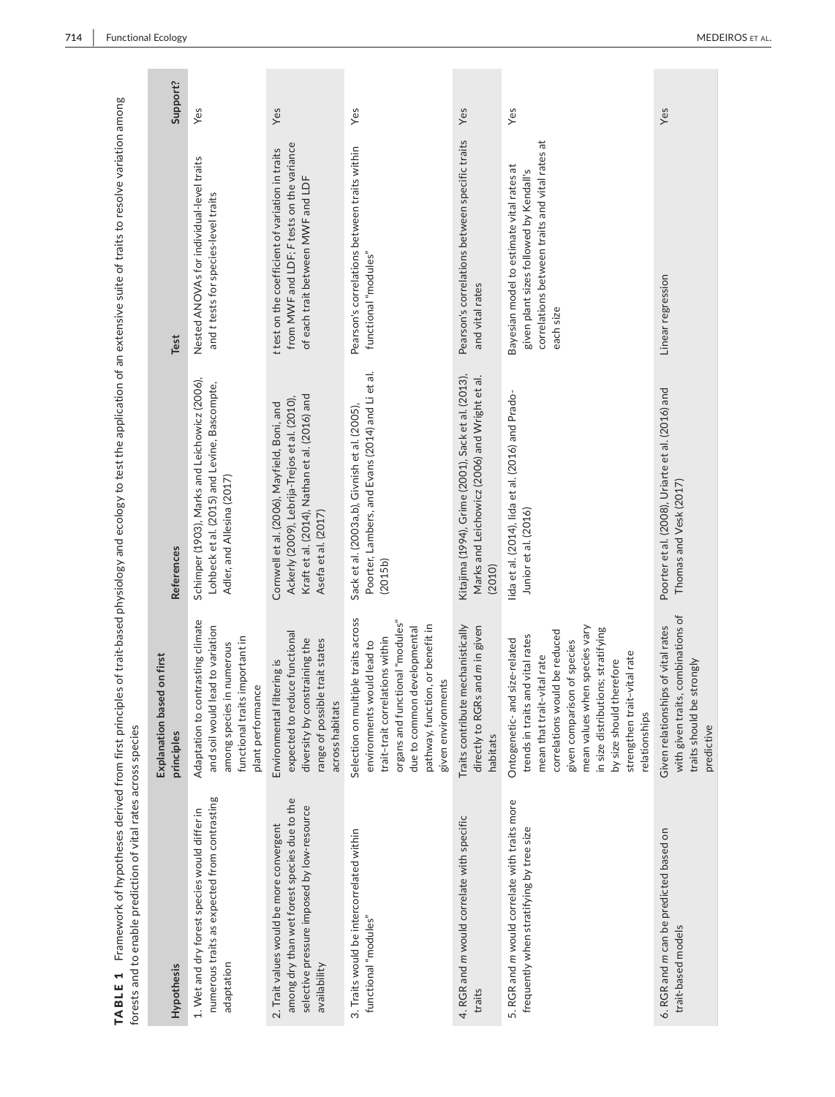|                                                                | Support?                                 | Yes                                                                                                                                                            | Yes                                                                                                                                                                  | Yes                                                                                                                                                                                                                                 | Yes                                                                                                           | Yes                                                                                                                                                                                                                                                                                                                | Yes                                                                                                                    |
|----------------------------------------------------------------|------------------------------------------|----------------------------------------------------------------------------------------------------------------------------------------------------------------|----------------------------------------------------------------------------------------------------------------------------------------------------------------------|-------------------------------------------------------------------------------------------------------------------------------------------------------------------------------------------------------------------------------------|---------------------------------------------------------------------------------------------------------------|--------------------------------------------------------------------------------------------------------------------------------------------------------------------------------------------------------------------------------------------------------------------------------------------------------------------|------------------------------------------------------------------------------------------------------------------------|
|                                                                | Test                                     | Nested ANOVAs for individual-level traits<br>and t tests for species-level traits                                                                              | from MWF and LDF; F tests on the variance<br>t test on the coefficient of variation in traits<br>of each trait between MWF and LDF                                   | Pearson's correlations between traits within<br>functional "modules"                                                                                                                                                                | Pearson's correlations between specific traits<br>and vital rates                                             | correlations between traits and vital rates at<br>Bayesian model to estimate vital rates at<br>given plant sizes followed by Kendall's<br>each size                                                                                                                                                                | Linear regression                                                                                                      |
|                                                                | <b>References</b>                        | Schimper (1903), Marks and Leichowicz (2006),<br>Lohbeck et al. (2015) and Levine, Bascompte,<br>Adler, and Allesina (2017)                                    | Kraft et al. (2014), Nathan et al. (2016) and<br>Ackerly (2009), Lebrija-Trejos et al. (2010),<br>Cornwell et al. (2006), Mayfield, Boni, and<br>Asefa et al. (2017) | Poorter, Lambers, and Evans (2014) and Li et al.<br>Sack et al. (2003a,b), Givnish et al. (2005),<br>(2015b)                                                                                                                        | Kitajima (1994), Grime (2001), Sack et al. (2013),<br>Marks and Leichowicz (2006) and Wright et al.<br>(2010) | lida et al. (2014), lida et al. (2016) and Prado-<br>Junior et al. (2016)                                                                                                                                                                                                                                          | Poorter et al. (2008), Uriarte et al. (2016) and<br>Thomas and Vesk (2017)                                             |
|                                                                | Explanation based on first<br>principles | Adaptation to contrasting climate<br>ead to variation<br>functional traits important in<br>in numerous<br>plant performance<br>and soil would<br>among species | expected to reduce functional<br>diversity by constraining the<br>range of possible trait states<br>Environmental filtering is<br>across habitats                    | Selection on multiple traits across<br>organs and functional "modules"<br>pathway, function, or benefit in<br>developmental<br>trait-trait correlations within<br>environments would lead to<br>given environments<br>due to common | Traits contribute mechanistically<br>directly to RGRs and m in given<br>habitats                              | mean values when species vary<br>in size distributions; stratifying<br>correlations would be reduced<br>trends in traits and vital rates<br>Ontogenetic- and size-related<br>given comparison of species<br>strengthen trait-vital rate<br>mean that trait-vital rate<br>by size should therefore<br>relationships | with given traits, combinations of<br>Given relationships of vital rates<br>strongly<br>traits should be<br>predictive |
| forests and to enable prediction of vital rates across species | Hypothesis                               | numerous traits as expected from contrasting<br>1. Wet and dry forest species would differ in<br>adaptation                                                    | among dry than wet forest species due to the<br>selective pressure imposed by low-resource<br>2. Trait values would be more convergent<br>availability               | 3. Traits would be intercorrelated within<br>functional "modules"                                                                                                                                                                   | 4. RGR and m would correlate with specific<br>traits                                                          | 5. RGR and m would correlate with traits more<br>frequently when stratifying by tree size                                                                                                                                                                                                                          | 6. RGR and m can be predicted based on<br>trait-based models                                                           |

TABLE 1 Framework of hypotheses derived from first principles of trait-based physiology and ecology to test the application of an extensive suite of traits to resolve variation among<br>forests and to enable prediction of vit TABLE 1 Framework of hypotheses derived from first principles of trait-based physiology and ecology to test the application of an extensive suite of traits to resolve variation among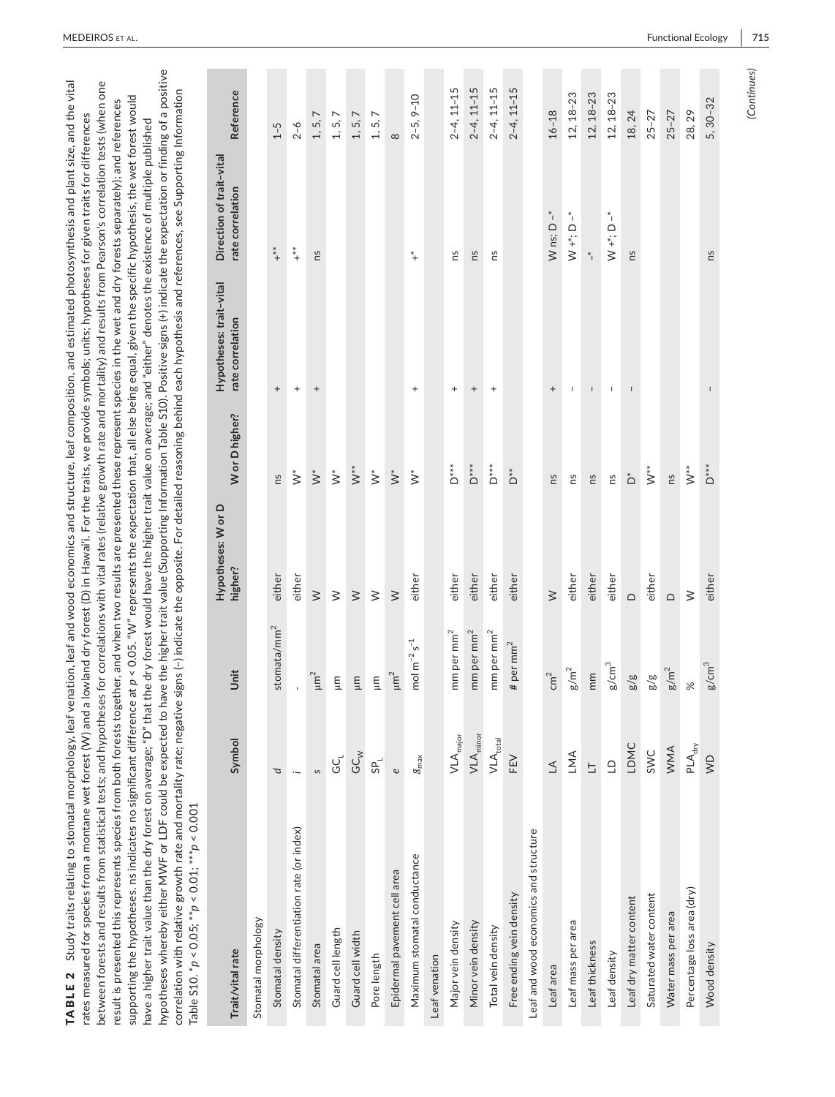| TABLE 2 Study traits relating to stomatal morphology, leaf venation, leaf and wood economics and structure, leaf composition, and estimated photosynthesis and plant size, and the vital                                                                                 |  |
|--------------------------------------------------------------------------------------------------------------------------------------------------------------------------------------------------------------------------------------------------------------------------|--|
| rates measured for species from a montane wet forest (W) and a lowland dry forest (D) in Hawai'i. For the traits, we provide symbols; units; hypotheses for given traits for differences                                                                                 |  |
| between forests and results from statistical tests; and hypotheses for correlations with vital rates (relative growth rate and mortality) and results from Pearson's correlation tests (when one                                                                         |  |
| result is presented this represents species from both forests together, and when two results are presented these represent species in the wet and dry forests separately); and references                                                                                |  |
| supporting the hypotheses. ns indicates no significant difference at $p < 0.05$ . "N" represents the expectation that, all else being equal, given the specific hypothesis, the wet forest would                                                                         |  |
| have a higher trait value than the dry forest on average; "D" that the dry forest would have the higher trait value on average; and "either" denotes the existence of multiple published                                                                                 |  |
| ve the higher trait value (Supporting Information Table S10). Positive signs (+) indicate the expectation or finding of a positive<br>hypotheses whereby either MWF or LDF could be expected to hav                                                                      |  |
| correlation with relative growth rate and mortality rate; negative signs $\left(\text{-}\right)$ indicate the opposite. For detailed reasoning behind each hypothesis and references, see Supporting Information<br>Table S10. $^*p < 0.05;$ $^*p < 0.01;$ $^*p < 0.001$ |  |
|                                                                                                                                                                                                                                                                          |  |

| Trait/vital rate                         | Symbol                             | Unit                                | Hypotheses: W or D<br>higher? | W or D higher?            | Hypotheses: trait-vital<br>rate correlation | Direction of trait-vital<br>rate correlation | Reference       |
|------------------------------------------|------------------------------------|-------------------------------------|-------------------------------|---------------------------|---------------------------------------------|----------------------------------------------|-----------------|
| Stomatal morphology                      |                                    |                                     |                               |                           |                                             |                                              |                 |
| Stomatal density                         | þ                                  | stomata/mm <sup>2</sup>             | either                        | ns                        | $^{+}$                                      | $+$ **                                       | $1 - 5$         |
| Stomatal differentiation rate (or index) | $\ddot{\phantom{0}}$               | ı                                   | either                        | $\stackrel{*}{\geq}$      | $^{+}$                                      | $\stackrel{*}{\ast}_{+}$                     | $2 - 6$         |
| Stomatal area                            | $\mathcal{S}$                      | $\mu m^2$                           | $\geq$                        | $\stackrel{*}{\geq}$      | $^{+}$                                      | SU                                           | 1, 5, 7         |
| Guard cell length                        | GC                                 | Ξ                                   | $\geq$                        | $\stackrel{*}{\geq}$      |                                             |                                              | 1, 5, 7         |
| Guard cell width                         | $G\mathcal{C}^{\searrow}_{\aleph}$ | $\mathbb{H}$                        | $\geq$                        | $\stackrel{*}{\geq}$      |                                             |                                              | 1, 5, 7         |
| Pore length                              | $S_{\mathsf{P}_\mathsf{L}}$        | Ξ                                   | $\geq$                        | $\stackrel{*}{\geq}$      |                                             |                                              | 1, 5, 7         |
| Epidermal pavement cell area             | $\mathbf{e}$                       | $\mu m^2$                           | $\geq$                        | $\stackrel{*}{\geq}$      |                                             |                                              | $\infty$        |
| Maximum stomatal conductance             | $g_{\text{max}}$                   | mol m <sup>-2</sup> s <sup>-1</sup> | either                        | $\stackrel{*}{\geq}$      | $^{+}$                                      | $^\ast\!+$                                   | $2 - 5, 9 - 10$ |
| Leaf venation                            |                                    |                                     |                               |                           |                                             |                                              |                 |
| Major vein density                       | $VLA_{major}$                      | mm per mm <sup>2</sup>              | either                        | $D^{**}$                  | $^{+}$                                      | Su                                           | $2-4, 11-15$    |
| Minor vein density                       | $VLA_{minor}$                      | mm per mm <sup>2</sup>              | either                        | $\mathsf{D}^{**}$         | $^{+}$                                      | ns                                           | $2-4, 11-15$    |
| Total vein density                       | $\mathsf{VLA}_\mathsf{total}$      | mm per mm <sup>2</sup>              | either                        | $D^{**}$                  | $^{+}$                                      | ns                                           | $2-4, 11-15$    |
| Free ending vein density                 | FEV                                | # per $mm2$                         | either                        | $\stackrel{*}{\triangle}$ |                                             |                                              | $2-4, 11-15$    |
| Leaf and wood economics and structure    |                                    |                                     |                               |                           |                                             |                                              |                 |
| Leaf area                                | $\Delta$                           | cm <sup>2</sup>                     | $\geq$                        | ns                        | $^{+}$                                      | W ns; $D^{-*}$                               | $16 - 18$       |
| Leaf mass per area                       | LMA                                | $\mathrm{g/m}^2$                    | either                        | ns                        | $\sf I$                                     | $\sum_{i=1}^{n}$                             | $12, 18 - 23$   |
| Leaf thickness                           | $\overline{\Box}$                  | mm                                  | either                        | ns                        | $\overline{\phantom{a}}$                    | $*$ <sub>1</sub>                             | $12, 18 - 23$   |
| Leaf density                             | $\Box$                             | $g/cm^3$                            | either                        | ns                        | $\mathsf I$                                 | $W^*$ ; D $-$                                | $12, 18 - 23$   |
| Leaf dry matter content                  | LDMC                               | $\frac{8}{8}$                       | $\Omega$                      | $\stackrel{*}{\bigcirc}$  | L                                           | ns                                           | 18, 24          |
| Saturated water content                  | SWC                                | $\frac{8}{8}$                       | either                        | $\check{z}^*$             |                                             |                                              | $25 - 27$       |
| Water mass per area                      | <b>WNN</b>                         | $g/m^2$                             | $\Omega$                      | ns                        |                                             |                                              | $25 - 27$       |
| Percentage loss area (dry)               | $PLA_{dry}$                        | $\aleph$                            | $\geq$                        | $\stackrel{*}{\searrow}$  |                                             |                                              | 28,29           |
| Wood density                             | $\overline{\mathsf{S}}$            | $g/cm^3$                            | either                        | $D^{***}$                 | $\sf I$                                     | ns                                           | $5,30-32$       |
|                                          |                                    |                                     |                               |                           |                                             |                                              |                 |

(Continues) *(Continues)*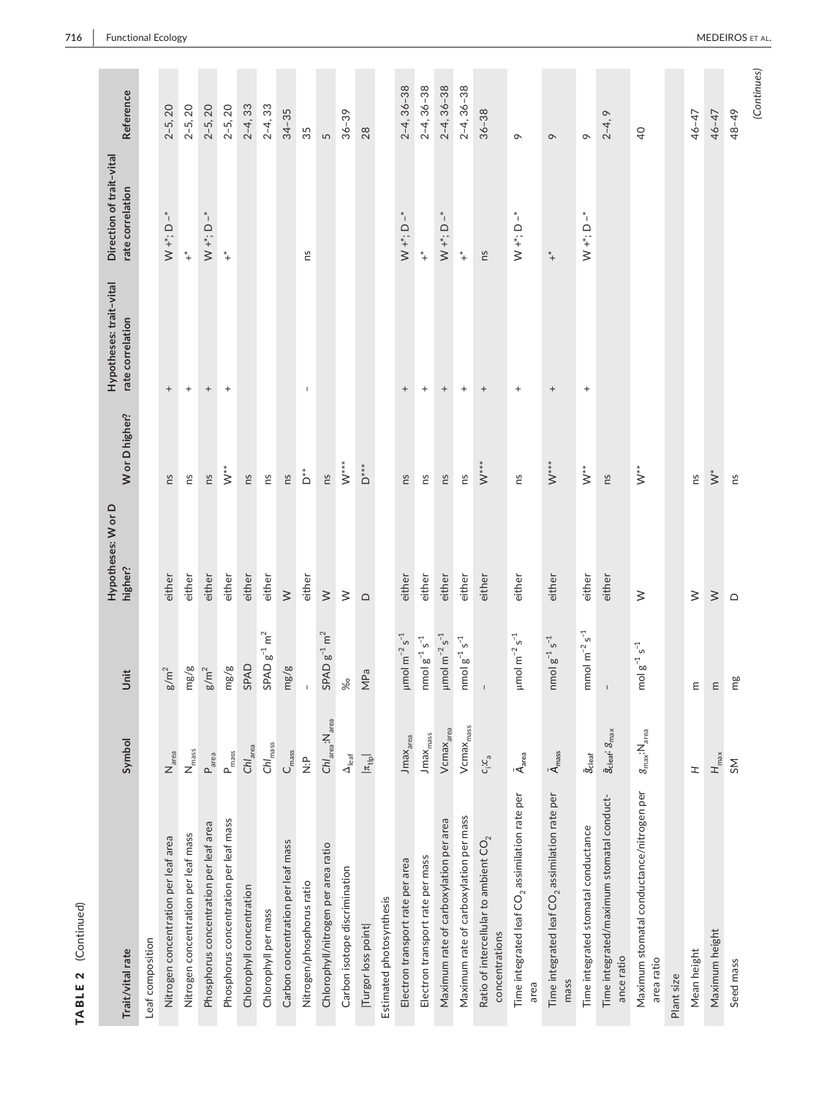| $\mathbf{r}$<br>ļ<br>$\ddot{\phantom{0}}$<br>Ç |
|------------------------------------------------|
| ¢<br>J<br>ь<br>ľ<br>AR.<br>٦<br>ŀ              |

| Trait/vital rate                                                    | Symbol                                                            | Unit                                                                                                             | Hypotheses: W or D<br>higher? | W or D higher?                             | Hypotheses: trait-vital<br>rate correlation | Direction of trait-vital<br>rate correlation      | Reference           |
|---------------------------------------------------------------------|-------------------------------------------------------------------|------------------------------------------------------------------------------------------------------------------|-------------------------------|--------------------------------------------|---------------------------------------------|---------------------------------------------------|---------------------|
| Leaf composition                                                    |                                                                   |                                                                                                                  |                               |                                            |                                             |                                                   |                     |
| Nitrogen concentration per leaf area                                | $N_{area}$                                                        | $g/m^2$                                                                                                          | either                        | ns                                         |                                             | $^\ast{}_{\rm I}$<br>$W + r$ ; D                  | $2 - 5, 20$         |
| Nitrogen concentration per leaf mass                                | $N_{\rm mass}$                                                    | mg/g                                                                                                             | either                        | ns                                         | $\begin{array}{c} + \end{array}$            | $^\ast\!+$                                        | $2 - 5, 20$         |
| Phosphorus concentration per leaf area                              | P <sub>area</sub>                                                 | $g/m^2$                                                                                                          | either                        | ns                                         | $^+$                                        | $W + \stackrel{*}{\cdot} D - \stackrel{*}{\cdot}$ | $2 - 5, 20$         |
| Phosphorus concentration per leaf mass                              | P <sub>mass</sub>                                                 | mg/g                                                                                                             | either                        | $\check{z}^*$                              | $\begin{array}{c} + \end{array}$            | $^\ast\!+$                                        | $2 - 5, 20$         |
| Chlorophyll concentration                                           | Chl <sub>area</sub>                                               | SPAD                                                                                                             | either                        | ns                                         |                                             |                                                   | $2 - 4, 33$         |
| Chlorophyll per mass                                                | $ChI_{mass}$                                                      | $SPAD g^{-1} m^2$                                                                                                | either                        | 2                                          |                                             |                                                   | $2-4, 33$           |
| Carbon concentration per leaf mass                                  | $C_{\text{mass}}$                                                 | mg/g                                                                                                             | $\geq$                        | ns                                         |                                             |                                                   | $34 - 35$           |
| Nitrogen/phosphorus ratio                                           | $\frac{\Delta}{\dot{Z}}$                                          | $\mathsf I$                                                                                                      | either                        | $\overset{*}{\circ}$                       | $\mathsf I$                                 | SU                                                | 35                  |
| Chlorophyll/nitrogen per area ratio                                 | $\mathsf{ChI}_{\mathsf{area}}\text{:}\mathsf{N}_{\mathsf{area}}$  | $\text{SPAD} \; \text{g}^{-1} \; \text{m}^2$                                                                     | $\geq$                        | ns                                         |                                             |                                                   | $\sqrt{2}$          |
| Carbon isotope discrimination                                       | $\Delta_{\text{leaf}}$                                            | %                                                                                                                | $\geq$                        | $\mathbb{V}^{**}$                          |                                             |                                                   | $36 - 39$           |
| Turgor loss point                                                   | $ \pi_{\rm{th}} $                                                 | MPa                                                                                                              | $\mathop\square$              | $D^*$                                      |                                             |                                                   | 28                  |
| Estimated photosynthesis                                            |                                                                   |                                                                                                                  |                               |                                            |                                             |                                                   |                     |
| Electron transport rate per area                                    | Jmax <sub>area</sub>                                              | $\mu$ mol m <sup>-2</sup> s <sup>-1</sup>                                                                        | either                        | ns                                         | $\! + \!$                                   | $W^*$ ; D <sup>*</sup>                            | $2-4, 36-38$        |
| Electron transport rate per mass                                    | $J$ ma $x_{mass}$                                                 | $n \times 1$ $g^{-1}$ $s^{-1}$                                                                                   | either                        | ns                                         | $\begin{array}{c} + \end{array}$            | $^*$ +                                            | $2 - 4, 36 - 38$    |
| Maximum rate of carboxylation per area                              | Vcmax <sub>area</sub>                                             | $\mu$ mol m $^{-2}$ s $^{-1}$                                                                                    | either                        | ns                                         | $\, +$                                      | $\sum_{i=1}^{n}$                                  | $2-4, 36-38$        |
| Maximum rate of carboxylation per mass                              | $Vcmax_{mass}$                                                    | $nmol g^{-1} s^{-1}$                                                                                             | either                        | ns                                         | $\begin{array}{c} + \end{array}$            | $^\ast\!+$                                        | $2 - 4, 36 - 38$    |
| Ratio of intercellular to ambient $\mathsf{CO}_2$<br>concentrations | $c_i:c_a$                                                         | $\,$ l                                                                                                           | either                        | $\sum^*$                                   | $^{+}$                                      | ns                                                | $36 - 38$           |
| Time integrated leaf $\mathsf{CO}_2$ assimilation rate per<br>area  | $\bar{\mathsf{A}}_{\mathsf{area}}$                                | $\mu$ mol m <sup>-2</sup> s <sup>-1</sup>                                                                        | either                        | SU                                         | $\! + \!\!\!\!$                             | *ı<br>$W + \stackrel{*}{\cdot} D$                 | $\sigma$            |
| Time integrated leaf $\mathsf{CO}_2$ assimilation rate per<br>mass  | $\bar{A}_{\text{mass}}$                                           | $\Gamma$ <sup>-</sup><br>nmol $g^{-1}$ :                                                                         | either                        | $\stackrel{\scriptscriptstyle\star}{\sim}$ |                                             | $^\ast\!+$                                        | $\infty$            |
| Time integrated stomatal conductance                                | $\bar{g}_{\text{cleaf}}$                                          | mmol $m^{-2}$ s <sup>-1</sup>                                                                                    | either                        | $\stackrel{*}{\geq}$                       | $\begin{array}{c} + \end{array}$            | $\sum_{i=1}^{n}$                                  | $\circ$             |
| Time integrated/maximum stomatal conduct-<br>ance ratio             | $\bar{\mathfrak{s}}_{\text{clear}}$ : $\mathfrak{g}_{\text{max}}$ | $\mathsf I$                                                                                                      | either                        | ns                                         |                                             |                                                   | $\circ$<br>$2 - 4,$ |
| Maximum stomatal conductance/nitrogen per<br>area ratio             | $g_{\text{max}}$ :N <sub>area</sub>                               | mol $g^{-1} s^{-1}$                                                                                              | $\geq$                        | $\checkmark^*$                             |                                             |                                                   | $\overline{a}$      |
| Plant size                                                          |                                                                   |                                                                                                                  |                               |                                            |                                             |                                                   |                     |
| Mean height                                                         | H                                                                 | Ξ                                                                                                                | $\geq$                        | ns                                         |                                             |                                                   | $46 - 47$           |
| Maximum height                                                      | $H_{\text{max}}$                                                  | $\mathsf{E}% _{\mathcal{A}}^{\mathcal{A}}(\mathcal{A})\equiv\mathsf{E}_{\mathcal{A}}^{\mathcal{A}}(\mathcal{A})$ | $\geq$                        | $\stackrel{*}{\geq}$                       |                                             |                                                   | 46-47               |
| Seed mass                                                           | SΜ                                                                | mg                                                                                                               | $\supset$                     | ۴S                                         |                                             |                                                   | 48-49               |
|                                                                     |                                                                   |                                                                                                                  |                               |                                            |                                             |                                                   | (Continues)         |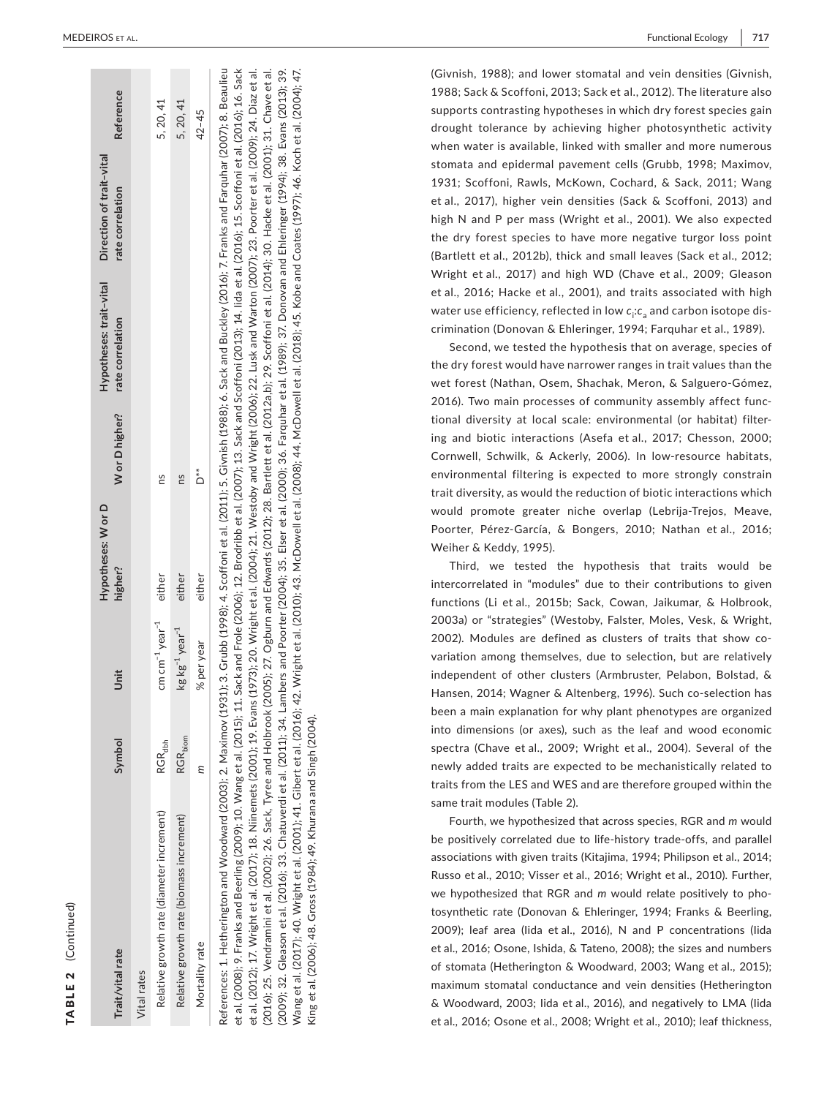| Trait/vital rate                                                                                                                                                                                          | Symbol              | Jnit                                         | Hypotheses: W or D<br>higher? |     | Hypotheses: trait-vital<br>Wor D higher? rate correlation | Direction of trait-vital<br>rate correlation | Reference |
|-----------------------------------------------------------------------------------------------------------------------------------------------------------------------------------------------------------|---------------------|----------------------------------------------|-------------------------------|-----|-----------------------------------------------------------|----------------------------------------------|-----------|
| Vital rates                                                                                                                                                                                               |                     |                                              |                               |     |                                                           |                                              |           |
| Relative growth rate (diameter increment)                                                                                                                                                                 | RGR <sub>dbh</sub>  | $cm cm^{-1}$ year $^{-1}$                    | either                        | ΩS  |                                                           |                                              | 5, 20, 41 |
| Relative growth rate (biomass increment)                                                                                                                                                                  | $RGR_{\text{biom}}$ | $\text{kg}\text{kg}^{-1}$ year <sup>-1</sup> | either                        | ns  |                                                           |                                              | 5,20,41   |
| Mortality rate                                                                                                                                                                                            | Е                   | % per year                                   | either                        | 'n, |                                                           |                                              | $42 - 45$ |
| References: 1. Hetherington and Woodward (2003); 2. Maximov (1931); 3. Grubb (1998); 4. Scoffoni et al. (2011); 5. Givnish (1988); 6. Sack and Buckley (2016); 7. Franks and Farquhar (2007); 8. Beaulieu |                     |                                              |                               |     |                                                           |                                              |           |

et al. (2008); 9. Franks and Beerling (2009); 10. Wang et al. (2015); 11. Sack and Frole (2006); 12. Brodribb et al. (2007); 13. Sack and Scoffoni (2013); 14. lida et al. (2016); 15. Scoffoni et al. (2016); 16. Sack et al. (2008); 9. Franks and Beerling (2009); 10. Wang et al. (2015); 11. Sack and Frole (2006); 12. Brodribb et al. (2007); 13. Sack and Scoffoni (2013); 14. Iida et al. (2016); 15. Scoffoni et al. (2016); 16. Sack et al. (2012); 17. Wright et al. (2017); 18. Niinemets (2001); 19. Evans (1973); 20. Wright et al. (2004); 21. Westoby and Wright (2006); 22. Lusk and Warton (2007); 23. Poorter et al. (2009); 24. Diaz et al. et al. (2012); 17. Wright et al. (2017); 18. Niinemets (2001); 19. Evans (1973); 20. Wright et al. (2004); 21. Westoby and Wright (2006); 22. Lusk and Warton (2007); 23. Poorter et al. (2009); 24. Diaz et al. Scoffoni et al. (2014); 30. Hacke et al. (2001); 31. Chave et al. (2016); 25. Vendramini et al. (2002); 26. Sack, Tyree and Holbrook (2005); 27. Ogburn and Edwards (2012); 28. Bartlett et al. (2012a,b); 29. Scoffoni et al. (2014); 30. Hacke et al. (2001); 31. Chave et al. (2009); 32. Gleason et al. (2016); 33. Chatuverdi et al. (2011); 34. Lambers and Poorter (2004); 35. Elser et al. (2000); 36. Farquhar et al. (1989); 37. Donovan and Ehleringer (1994); 38. Evans (2013); 39. (2009); 32. Gleason et al. (2016); 33. Chatuverdi et al. (2011); 34. Lambers and Poorter (2004); 35. Elser et al. (2000); 36. Farquhar et al. (1989); 37. Donovan and Ehleringer (1994); 38. Evans (2013); 39. Wang et al. (2017); 40. Wright et al. (2001); 41. Gibert et al. (2016); 42. Wright et al. (2010); 42. McDowell et al. (2008); 44. McDowell et al. (2018); 45. Kobe and Coates (1997); 46. Koch et al. (2004); 47. Wang et al. (2017); 40. Wright et al. (2001); 41. Gibert et al. (2016); 42. Wright et al. (2010); 43. McDowell et al. (2008); 44. McDowell et al. (2018); 45. Kobe and Coates (1997); 46. Koch et al. (2004); 47. Sack, Tyree and Holbrook (2005); 27. Ogburn and Edwards (2012); 28. Bartlett et al. (2012a,b); 29. King et al. (2006); 48. Gross (1984); 49. Khurana and Singh (2004). King et al. (2006); 48. Gross (1984); 49. Khurana and Singh (2004). (2016); 25. Vendramini et al. (2002); 26.

(Givnish, 1988); and lower stomatal and vein densities (Givnish, 1988; Sack & Scoffoni, 2013; Sack et al., 2012). The literature also supports contrasting hypotheses in which dry forest species gain drought tolerance by achieving higher photosynthetic activity when water is available, linked with smaller and more numerous stomata and epidermal pavement cells (Grubb, 1998; Maximov, 1931; Scoffoni, Rawls, McKown, Cochard, & Sack, 2011; Wang et al., 2017), higher vein densities (Sack & Scoffoni, 2013) and high N and P per mass (Wright et al., 2001). We also expected the dry forest species to have more negative turgor loss point (Bartlett et al., 2012b), thick and small leaves (Sack et al., 2012; Wright et al., 2017) and high WD (Chave et al., 2009; Gleason et al., 2016; Hacke et al., 2001), and traits associated with high water use efficiency, reflected in low  $c_{\mathsf{i}}{\mathsf{:}} c_{\mathsf{a}}$  and carbon isotope discrimination (Donovan & Ehleringer, 1994; Farquhar et al., 1989).

 wet forest (Nathan, Osem, Shachak, Meron, & Salguero-Gómez, ing and biotic interactions (Asefa et al., 2017; Chesson, 2000; Cornwell, Schwilk, & Ackerly, 2006). In low-resource habitats, would promote greater niche overlap (Lebrija-Trejos, Meave, Poorter, Pérez-García, & Bongers, 2010; Nathan et al., 2016; Weiher & Keddy, 1995). Second, we tested the hypothesis that on average, species of the dry forest would have narrower ranges in trait values than the 2016). Two main processes of community assembly affect func tional diversity at local scale: environmental (or habitat) filter environmental filtering is expected to more strongly constrain trait diversity, as would the reduction of biotic interactions which

 functions (Li et al., 2015b; Sack, Cowan, Jaikumar, & Holbrook, 2002). Modules are defined as clusters of traits that show co - independent of other clusters (Armbruster, Pelabon, Bolstad, & Hansen, 2014; Wagner & Altenberg, 1996). Such co-selection has spectra (Chave et al., 2009; Wright et al., 2004). Several of the Third, we tested the hypothesis that traits would be intercorrelated in "modules" due to their contributions to given 2003a) or "strategies" (Westoby, Falster, Moles, Vesk, & Wright, variation among themselves, due to selection, but are relatively been a main explanation for why plant phenotypes are organized into dimensions (or axes), such as the leaf and wood economic newly added traits are expected to be mechanistically related to traits from the LES and WES and are therefore grouped within the same trait modules (Table 2).

 be positively correlated due to life-history trade-offs, and parallel associations with given traits (Kitajima, 1994; Philipson et al., 2014; we hypothesized that RGR and *m* would relate positively to pho - tosynthetic rate (Donovan & Ehleringer, 1994; Franks & Beerling, 2009); leaf area (Iida et al., 2016), N and P concentrations (Iida of stomata (Hetherington & Woodward, 2003; Wang et al., 2015); & Woodward, 2003; Iida et al., 2016), and negatively to LMA (Iida Fourth, we hypothesized that across species, RGR and *m* would Russo et al., 2010; Visser et al., 2016; Wright et al., 2010). Further, et al., 2016; Osone, Ishida, & Tateno, 2008); the sizes and numbers maximum stomatal conductance and vein densities (Hetherington et al., 2016; Osone et al., 2008; Wright et al., 2010); leaf thickness,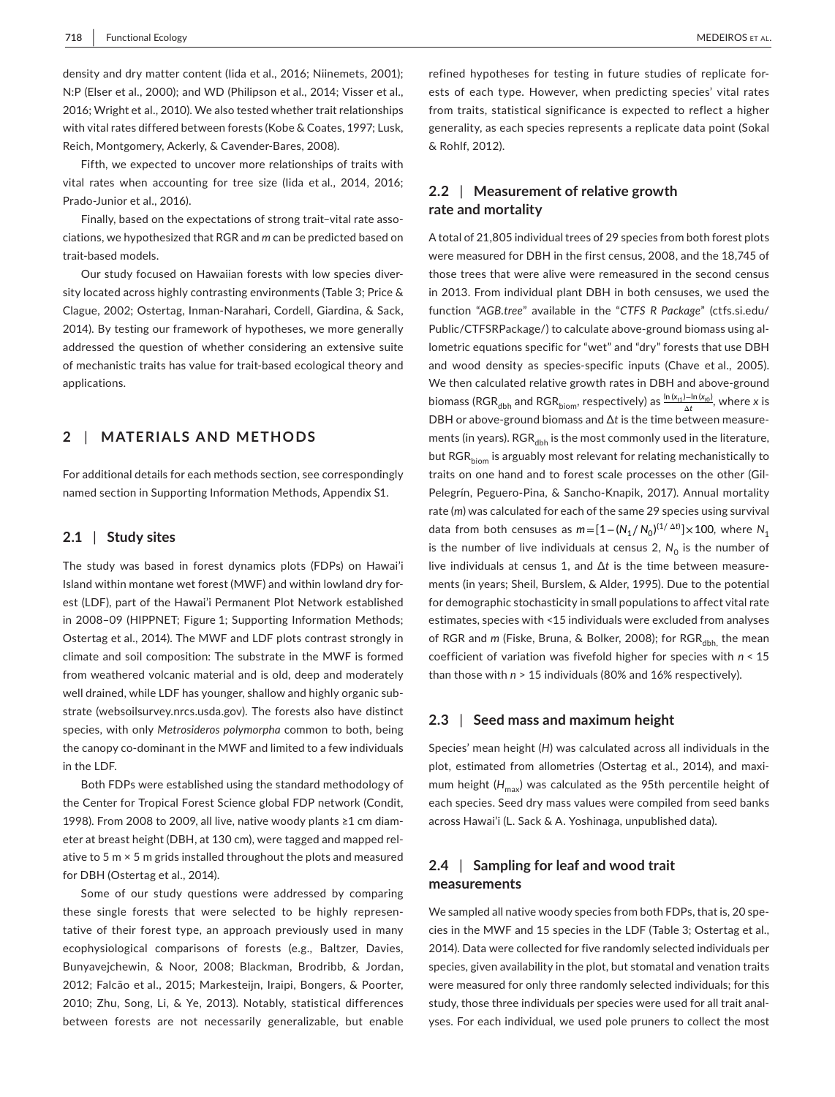N:P (Elser et al., 2000); and WD (Philipson et al., 2014; Visser et al., with vital rates differed between forests (Kobe & Coates, 1997; Lusk, Reich, Montgomery, Ackerly, & Cavender-Bares, 2008). density and dry matter content (Iida et al., 2016; Niinemets, 2001); 2016; Wright et al., 2010). We also tested whether trait relationships

 vital rates when accounting for tree size (Iida et al., 2014, 2016; Prado-Junior et al., 2016). Fifth, we expected to uncover more relationships of traits with

Finally, based on the expectations of strong trait–vital rate associations, we hypothesized that RGR and *m* can be predicted based on trait-based models.

 Clague, 2002; Ostertag, Inman-Narahari, Cordell, Giardina, & Sack, 2014). By testing our framework of hypotheses, we more generally of mechanistic traits has value for trait-based ecological theory and Our study focused on Hawaiian forests with low species diversity located across highly contrasting environments (Table 3; Price & addressed the question of whether considering an extensive suite applications.

## **2**  | **MATERIALS AND METHODS**

For additional details for each methods section, see correspondingly named section in Supporting Information Methods, Appendix S1.

#### **2.1** | **Study sites**

The study was based in forest dynamics plots (FDPs) on Hawai'i Island within montane wet forest (MWF) and within lowland dry forest (LDF), part of the Hawai'i Permanent Plot Network established in 2008–09 (HIPPNET; Figure 1; Supporting Information Methods; Ostertag et al., 2014). The MWF and LDF plots contrast strongly in climate and soil composition: The substrate in the MWF is formed from weathered volcanic material and is old, deep and moderately well drained, while LDF has younger, shallow and highly organic substrate ([websoilsurvey.nrcs.usda.gov\)](https://websoilsurvey.nrcs.usda.gov). The forests also have distinct species, with only *Metrosideros polymorpha* common to both, being the canopy co-dominant in the MWF and limited to a few individuals in the LDF.

 1998). From 2008 to 2009, all live, native woody plants ≥1 cm diam- ative to 5 m × 5 m grids installed throughout the plots and measured for DBH (Ostertag et al., 2014). Both FDPs were established using the standard methodology of the Center for Tropical Forest Science global FDP network (Condit, eter at breast height (DBH, at 130 cm), were tagged and mapped rel-

 2012; Falcão et al., 2015; Markesteijn, Iraipi, Bongers, & Poorter, 2010; Zhu, Song, Li, & Ye, 2013). Notably, statistical differences Some of our study questions were addressed by comparing these single forests that were selected to be highly representative of their forest type, an approach previously used in many ecophysiological comparisons of forests (e.g., Baltzer, Davies, Bunyavejchewin, & Noor, 2008; Blackman, Brodribb, & Jordan, between forests are not necessarily generalizable, but enable

refined hypotheses for testing in future studies of replicate forests of each type. However, when predicting species' vital rates from traits, statistical significance is expected to reflect a higher generality, as each species represents a replicate data point (Sokal & Rohlf, 2012).

## **2.2** | **Measurement of relative growth rate and mortality**

 A total of 21,805 individual trees of 29 species from both forest plots were measured for DBH in the first census, 2008, and the 18,745 of Public/CTFSRPackage/) to calculate above-ground biomass using al- and wood density as species-specific inputs (Chave et al., 2005). We then calculated relative growth rates in DBH and above-ground DBH or above-ground biomass and ∆*t* is the time between measure- traits on one hand and to forest scale processes on the other (Gil- Pelegrín, Peguero-Pina, & Sancho-Knapik, 2017). Annual mortality rate (*m*) was calculated for each of the same 29 species using survival live individuals at census 1, and ∆*t* is the time between measure- ments (in years; Sheil, Burslem, & Alder, 1995). Due to the potential estimates, species with <15 individuals were excluded from analyses coefficient of variation was fivefold higher for species with *n* < 15 than those with *n* > 15 individuals (80% and 16% respectively).  $b$ iomass (RGR<sub>dbh</sub> and RGR<sub>biom</sub>, respectively) as  $\frac{\ln(x_{rt}) - \ln(x_{t0})}{\Delta t}$ , where *x* is those trees that were alive were remeasured in the second census in 2013. From individual plant DBH in both censuses, we used the function "*AGB.tree*" available in the "*CTFS R Package*" [\(ctfs.si.edu](https://ctfs.si.edu)/ lometric equations specific for "wet" and "dry" forests that use DBH ments (in years).  $RGR_{dbh}$  is the most commonly used in the literature, but RGR<sub>biom</sub> is arguably most relevant for relating mechanistically to data from both censuses as  $m = [1 - (N_1/N_0)^{(1/\Delta t)}] \times 100$ , where  $N_1$ is the number of live individuals at census 2,  $N_0$  is the number of for demographic stochasticity in small populations to affect vital rate of RGR and *m* (Fiske, Bruna, & Bolker, 2008); for RGR<sub>dbh,</sub> the mean

### **2.3** | **Seed mass and maximum height**

 plot, estimated from allometries (Ostertag et al., 2014), and maxi- across Hawai'i (L. Sack & A. Yoshinaga, unpublished data). Species' mean height (*H*) was calculated across all individuals in the mum height  $(H_{\text{max}})$  was calculated as the 95th percentile height of each species. Seed dry mass values were compiled from seed banks

## **2.4** | **Sampling for leaf and wood trait measurements**

 cies in the MWF and 15 species in the LDF (Table 3; Ostertag et al., 2014). Data were collected for five randomly selected individuals per We sampled all native woody species from both FDPs, that is, 20 spespecies, given availability in the plot, but stomatal and venation traits were measured for only three randomly selected individuals; for this study, those three individuals per species were used for all trait analyses. For each individual, we used pole pruners to collect the most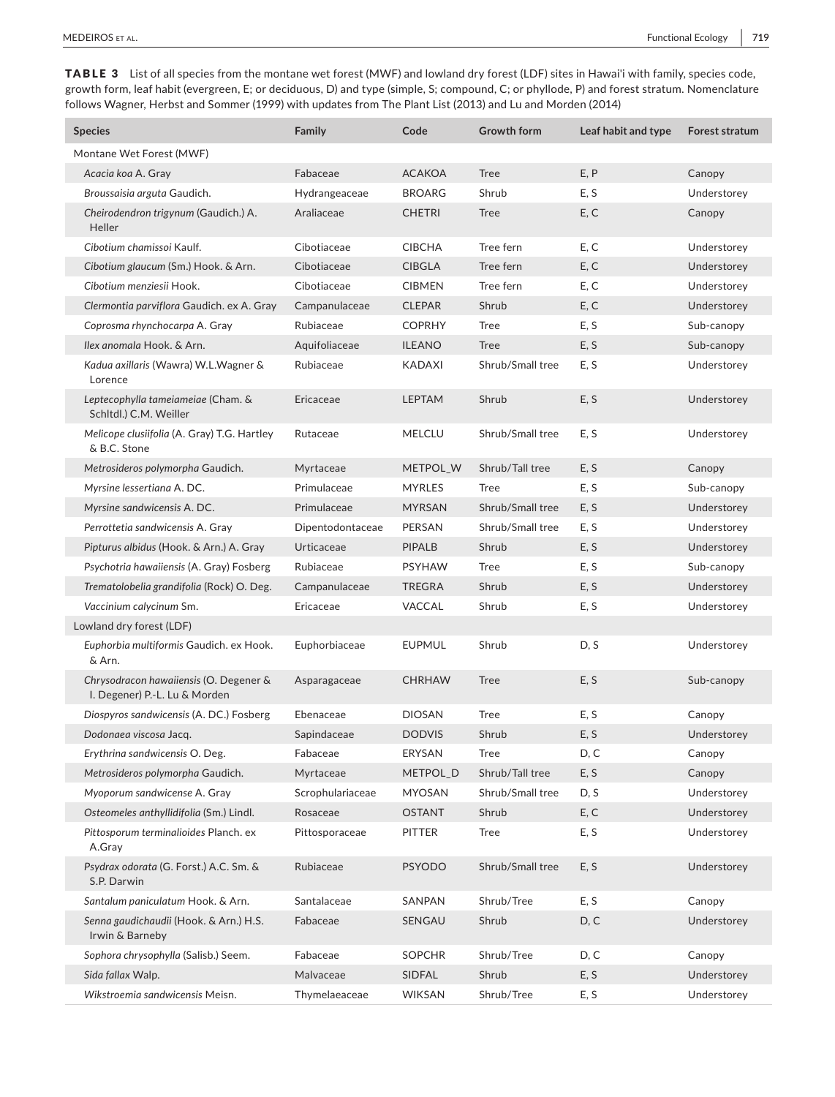follows Wagner, Herbst and Sommer (1999) with updates from The Plant List (2013) and Lu and Morden (2014) TABLE 3 List of all species from the montane wet forest (MWF) and lowland dry forest (LDF) sites in Hawai'i with family, species code, growth form, leaf habit (evergreen, E; or deciduous, D) and type (simple, S; compound, C; or phyllode, P) and forest stratum. Nomenclature

| <b>Species</b>                                                          | Family           | Code          | <b>Growth form</b> | Leaf habit and type | Forest stratum |
|-------------------------------------------------------------------------|------------------|---------------|--------------------|---------------------|----------------|
| Montane Wet Forest (MWF)                                                |                  |               |                    |                     |                |
| Acacia koa A. Gray                                                      | Fabaceae         | <b>ACAKOA</b> | <b>Tree</b>        | E, P                | Canopy         |
| Broussaisia arguta Gaudich.                                             | Hydrangeaceae    | <b>BROARG</b> | Shrub              | E, S                | Understorey    |
| Cheirodendron trigynum (Gaudich.) A.<br>Heller                          | Araliaceae       | <b>CHETRI</b> | <b>Tree</b>        | E, C                | Canopy         |
| Cibotium chamissoi Kaulf.                                               | Cibotiaceae      | <b>CIBCHA</b> | Tree fern          | E, C                | Understorey    |
| Cibotium glaucum (Sm.) Hook. & Arn.                                     | Cibotiaceae      | <b>CIBGLA</b> | Tree fern          | E, C                | Understorey    |
| Cibotium menziesii Hook.                                                | Cibotiaceae      | <b>CIBMEN</b> | Tree fern          | E, C                | Understorey    |
| Clermontia parviflora Gaudich. ex A. Gray                               | Campanulaceae    | <b>CLEPAR</b> | Shrub              | E, C                | Understorey    |
| Coprosma rhynchocarpa A. Gray                                           | Rubiaceae        | <b>COPRHY</b> | <b>Tree</b>        | E, S                | Sub-canopy     |
| Ilex anomala Hook. & Arn.                                               | Aquifoliaceae    | <b>ILEANO</b> | <b>Tree</b>        | E, S                | Sub-canopy     |
| Kadua axillaris (Wawra) W.L.Wagner &<br>Lorence                         | Rubiaceae        | <b>KADAXI</b> | Shrub/Small tree   | E, S                | Understorey    |
| Leptecophylla tameiameiae (Cham. &<br>Schltdl.) C.M. Weiller            | Ericaceae        | <b>LEPTAM</b> | Shrub              | E, S                | Understorey    |
| Melicope clusiifolia (A. Gray) T.G. Hartley<br>& B.C. Stone             | Rutaceae         | <b>MELCLU</b> | Shrub/Small tree   | E, S                | Understorey    |
| Metrosideros polymorpha Gaudich.                                        | Myrtaceae        | METPOL_W      | Shrub/Tall tree    | E, S                | Canopy         |
| Myrsine lessertiana A. DC.                                              | Primulaceae      | <b>MYRLES</b> | Tree               | E, S                | Sub-canopy     |
| Myrsine sandwicensis A. DC.                                             | Primulaceae      | <b>MYRSAN</b> | Shrub/Small tree   | E, S                | Understorey    |
| Perrottetia sandwicensis A. Gray                                        | Dipentodontaceae | PERSAN        | Shrub/Small tree   | E, S                | Understorey    |
| Pipturus albidus (Hook. & Arn.) A. Gray                                 | Urticaceae       | <b>PIPALB</b> | Shrub              | E, S                | Understorey    |
| Psychotria hawaiiensis (A. Gray) Fosberg                                | Rubiaceae        | <b>PSYHAW</b> | <b>Tree</b>        | E, S                | Sub-canopy     |
| Trematolobelia grandifolia (Rock) O. Deg.                               | Campanulaceae    | <b>TREGRA</b> | Shrub              | E, S                | Understorey    |
| Vaccinium calycinum Sm.                                                 | Ericaceae        | <b>VACCAL</b> | Shrub              | E, S                | Understorey    |
| Lowland dry forest (LDF)                                                |                  |               |                    |                     |                |
| Euphorbia multiformis Gaudich. ex Hook.<br>& Arn.                       | Euphorbiaceae    | <b>EUPMUL</b> | Shrub              | D, S                | Understorey    |
| Chrysodracon hawaiiensis (O. Degener &<br>I. Degener) P.-L. Lu & Morden | Asparagaceae     | <b>CHRHAW</b> | <b>Tree</b>        | E, S                | Sub-canopy     |
| Diospyros sandwicensis (A. DC.) Fosberg                                 | Ebenaceae        | <b>DIOSAN</b> | <b>Tree</b>        | E, S                | Canopy         |
| Dodonaea viscosa Jacq.                                                  | Sapindaceae      | <b>DODVIS</b> | Shrub              | E, S                | Understorey    |
| Erythrina sandwicensis O. Deg.                                          | Fabaceae         | ERYSAN        | <b>Tree</b>        | D, C                | Canopy         |
| Metrosideros polymorpha Gaudich.                                        | Myrtaceae        | METPOL_D      | Shrub/Tall tree    | E, S                | Canopy         |
| Myoporum sandwicense A. Gray                                            | Scrophulariaceae | <b>MYOSAN</b> | Shrub/Small tree   | D, S                | Understorey    |
| Osteomeles anthyllidifolia (Sm.) Lindl.                                 | Rosaceae         | <b>OSTANT</b> | Shrub              | E, C                | Understorey    |
| Pittosporum terminalioides Planch. ex<br>A.Gray                         | Pittosporaceae   | <b>PITTER</b> | Tree               | E, S                | Understorey    |
| Psydrax odorata (G. Forst.) A.C. Sm. &<br>S.P. Darwin                   | Rubiaceae        | <b>PSYODO</b> | Shrub/Small tree   | E, S                | Understorey    |
| Santalum paniculatum Hook. & Arn.                                       | Santalaceae      | SANPAN        | Shrub/Tree         | E, S                | Canopy         |
| Senna gaudichaudii (Hook. & Arn.) H.S.<br>Irwin & Barneby               | Fabaceae         | SENGAU        | Shrub              | D, C                | Understorey    |
| Sophora chrysophylla (Salisb.) Seem.                                    | Fabaceae         | <b>SOPCHR</b> | Shrub/Tree         | D, C                | Canopy         |
| Sida fallax Walp.                                                       | Malvaceae        | SIDFAL        | Shrub              | E, S                | Understorey    |
| Wikstroemia sandwicensis Meisn.                                         | Thymelaeaceae    | <b>WIKSAN</b> | Shrub/Tree         | E, S                | Understorey    |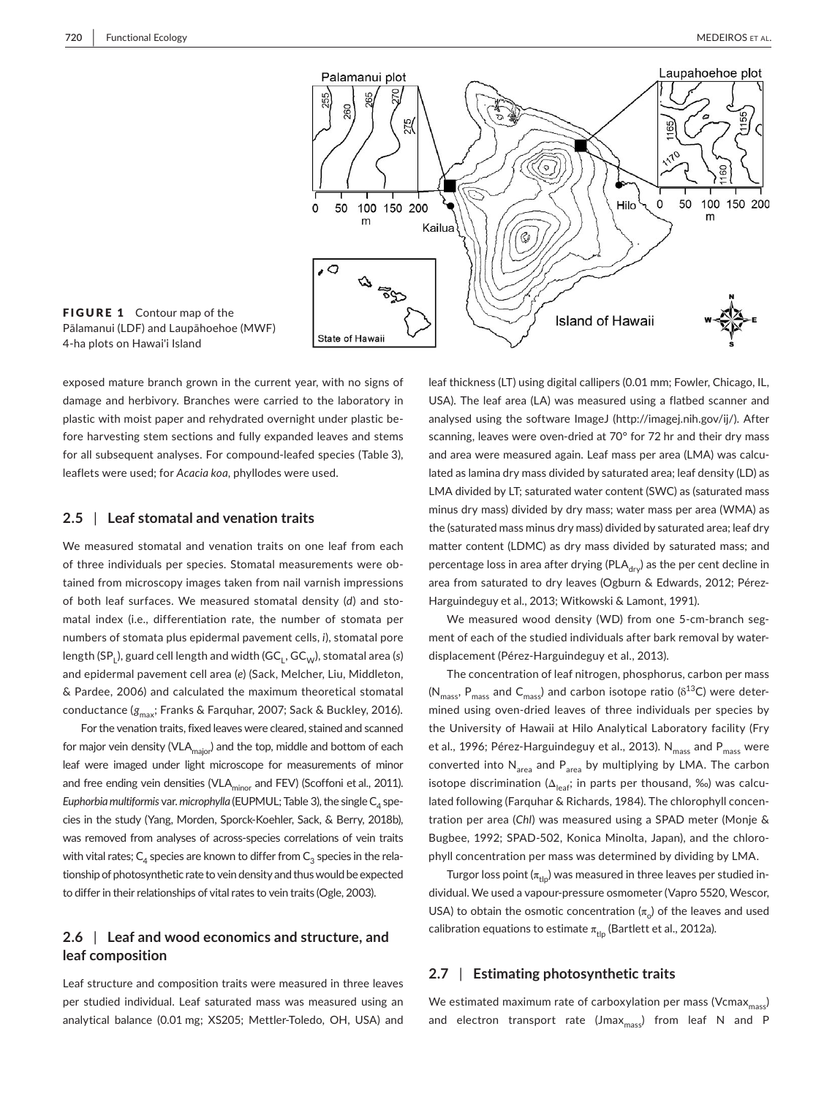

FIGURE 1 Contour map of the Pālamanui (LDF) and Laupāhoehoe (MWF) 4-ha plots on Hawai'i Island

 for all subsequent analyses. For compound-leafed species (Table 3), exposed mature branch grown in the current year, with no signs of damage and herbivory. Branches were carried to the laboratory in plastic with moist paper and rehydrated overnight under plastic before harvesting stem sections and fully expanded leaves and stems leaflets were used; for *Acacia koa*, phyllodes were used.

#### **2.5** | **Leaf stomatal and venation traits**

 numbers of stomata plus epidermal pavement cells, *i*), stomatal pore We measured stomatal and venation traits on one leaf from each of three individuals per species. Stomatal measurements were obtained from microscopy images taken from nail varnish impressions of both leaf surfaces. We measured stomatal density (*d*) and stomatal index (i.e., differentiation rate, the number of stomata per length (SP<sub>L</sub>), guard cell length and width (GC<sub>L</sub>, GC<sub>W</sub>), stomatal area (s) and epidermal pavement cell area (*e*) (Sack, Melcher, Liu, Middleton, & Pardee, 2006) and calculated the maximum theoretical stomatal conductance ( $g_{\text{max}}$ ; Franks & Farquhar, 2007; Sack & Buckley, 2016).

for major vein density (VLA<sub>major</sub>) and the top, middle and bottom of each and free ending vein densities (VLA<sub>minor</sub> and FEV) (Scoffoni et al., 2011). cies in the study (Yang, Morden, Sporck-Koehler, Sack, & Berry, 2018b), was removed from analyses of across-species correlations of vein traits For the venation traits, fixed leaves were cleared, stained and scanned leaf were imaged under light microscope for measurements of minor *Euphorbia multiformis* var. *microphylla* (EUPMUL; Table 3), the single  $C_4$  spewith vital rates;  $C_4$  species are known to differ from  $C_3$  species in the relationship of photosynthetic rate to vein density and thus would be expected to differ in their relationships of vital rates to vein traits (Ogle, 2003).

## **2.6** | **Leaf and wood economics and structure, and leaf composition**

Leaf structure and composition traits were measured in three leaves per studied individual. Leaf saturated mass was measured using an analytical balance (0.01 mg; XS205; Mettler-Toledo, OH, USA) and

percentage loss in area after drying (PLA $_{\rm dry}$ ) as the per cent decline in area from saturated to dry leaves (Ogburn & Edwards, 2012; Pérez- Harguindeguy et al., 2013; Witkowski & Lamont, 1991). leaf thickness (LT) using digital callipers (0.01 mm; Fowler, Chicago, IL, USA). The leaf area (LA) was measured using a flatbed scanner and analysed using the software ImageJ [\(http://imagej.nih.gov/ij/\)](http://imagej.nih.gov/ij/). After scanning, leaves were oven-dried at 70° for 72 hr and their dry mass and area were measured again. Leaf mass per area (LMA) was calculated as lamina dry mass divided by saturated area; leaf density (LD) as LMA divided by LT; saturated water content (SWC) as (saturated mass minus dry mass) divided by dry mass; water mass per area (WMA) as the (saturated mass minus dry mass) divided by saturated area; leaf dry matter content (LDMC) as dry mass divided by saturated mass; and

 We measured wood density (WD) from one 5-cm-branch seg- ment of each of the studied individuals after bark removal by water- displacement (Pérez-Harguindeguy et al., 2013).

 mined using oven-dried leaves of three individuals per species by the University of Hawaii at Hilo Analytical Laboratory facility (Fry et al., 1996; Pérez-Harguindeguy et al., 2013). N<sub>mass</sub> and P<sub>mass</sub> were converted into  $N_{area}$  and  $P_{area}$  by multiplying by LMA. The carbon lated following (Farquhar & Richards, 1984). The chlorophyll concen- tration per area (*Chl*) was measured using a SPAD meter (Monje & Bugbee, 1992; SPAD-502, Konica Minolta, Japan), and the chloro- phyll concentration per mass was determined by dividing by LMA. The concentration of leaf nitrogen, phosphorus, carbon per mass ( $N_{mass}$ ,  $P_{mass}$  and  $C_{mass}$ ) and carbon isotope ratio ( $\delta^{13}C$ ) were deterisotope discrimination ( $\Delta_{\text{leaf}}$ ; in parts per thousand, ‰) was calcu-

 dividual. We used a vapour-pressure osmometer (Vapro 5520, Wescor, USA) to obtain the osmotic concentration  $(\pi_{\circ})$  of the leaves and used Turgor loss point ( $\pi_{\text{th}}$ ) was measured in three leaves per studied incalibration equations to estimate  $\pi_{\text{tip}}$  (Bartlett et al., 2012a).

### **2.7** | **Estimating photosynthetic traits**

We estimated maximum rate of carboxylation per mass (Vcmax $_{\rm mass}$ ) and electron transport rate (Jmax $_{\text{mass}}$ ) from leaf N and P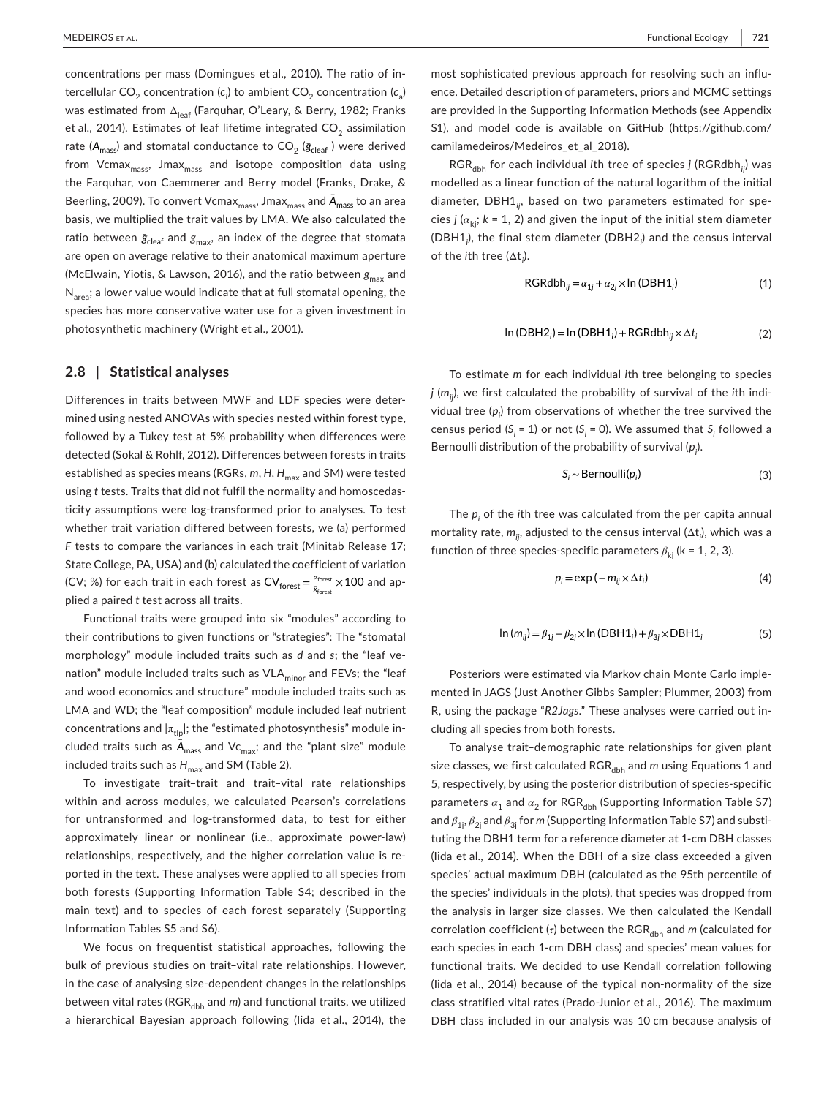was estimated from Δ<sub>leaf</sub> (Farquhar, O'Leary, & Berry, 1982; Franks et al., 2014). Estimates of leaf lifetime integrated CO $_2$  assimilation Beerling, 2009). To convert Vcmax $_{\rm mass}$ , Jmax $_{\rm mass}$  and  $\bar{\bm A}_{\rm mass}$  to an area basis, we multiplied the trait values by LMA. We also calculated the (McElwain, Yiotis, & Lawson, 2016), and the ratio between  $\boldsymbol{g}_{\text{max}}$  and concentrations per mass (Domingues et al., 2010). The ratio of intercellular CO<sub>2</sub> concentration ( $c_{\sf i}$ ) to ambient CO<sub>2</sub> concentration ( $c_{\sf a}$ ) rate ( $\bar{A}_{\text{mass}}$ ) and stomatal conductance to CO<sub>2</sub> ( $\bar{\text{g}}_{\text{clear}}$  ) were derived from Vcmax $_{\rm mass}$ , Jmax $_{\rm mass}$  and isotope composition data using the Farquhar, von Caemmerer and Berry model (Franks, Drake, & ratio between  $\bar{g}_{\text{clear}}$  and  $g_{\text{max}}$ , an index of the degree that stomata are open on average relative to their anatomical maximum aperture  $N_{area}$ ; a lower value would indicate that at full stomatal opening, the species has more conservative water use for a given investment in photosynthetic machinery (Wright et al., 2001).

#### **2.8** | **Statistical analyses**

 mined using nested ANOVAs with species nested within forest type, followed by a Tukey test at 5% probability when differences were established as species means (RGRs, *m, H, H<sub>max</sub>* and SM) were tested ticity assumptions were log-transformed prior to analyses. To test State College, PA, USA) and (b) calculated the coefficient of variation (CV; %) for each trait in each forest as  $\textsf{CV}_\textsf{forest} \!=\! \frac{\sigma_\textsf{forest}}{\bar{\mathsf{x}}_\textsf{forest}} \!\times\! 100$  and ap-Differences in traits between MWF and LDF species were deterdetected (Sokal & Rohlf, 2012). Differences between forests in traits using *t* tests. Traits that did not fulfil the normality and homoscedaswhether trait variation differed between forests, we (a) performed *F* tests to compare the variances in each trait (Minitab Release 17; plied a paired *t* test across all traits.

nation" module included traits such as VLA<sub>minor</sub> and FEVs; the "leaf LMA and WD; the "leaf composition" module included leaf nutrient Functional traits were grouped into six "modules" according to their contributions to given functions or "strategies": The "stomatal morphology" module included traits such as *d* and *s*; the "leaf veand wood economics and structure" module included traits such as concentrations and  $|\pi_{\text{th}}|$ ; the "estimated photosynthesis" module included traits such as  $\bar{A}_{\text{mass}}$  and Vc<sub>max</sub>; and the "plant size" module included traits such as  $H_{\text{max}}$  and SM (Table 2).

 for untransformed and log-transformed data, to test for either approximately linear or nonlinear (i.e., approximate power-law) both forests (Supporting Information Table S4; described in the Information Tables S5 and S6). To investigate trait–trait and trait–vital rate relationships within and across modules, we calculated Pearson's correlations relationships, respectively, and the higher correlation value is reported in the text. These analyses were applied to all species from main text) and to species of each forest separately (Supporting

 in the case of analysing size-dependent changes in the relationships a hierarchical Bayesian approach following (Iida et al., 2014), the We focus on frequentist statistical approaches, following the bulk of previous studies on trait–vital rate relationships. However, between vital rates (RGR<sub>dbh</sub> and *m*) and functional traits, we utilized

 most sophisticated previous approach for resolving such an influ- are provided in the Supporting Information Methods (see Appendix ence. Detailed description of parameters, priors and MCMC settings S1), and model code is available on GitHub ([https://github.com/](https://github.com/camilamedeiros/Medeiros_et_al_2018) [camilamedeiros/Medeiros\\_et\\_al\\_2018](https://github.com/camilamedeiros/Medeiros_et_al_2018)).

 $\mathsf{RGR}_{\mathsf{dbh}}$  for each individual *i*th tree of species *j* (RGRdbh<sub>ij</sub>) was cies *j* (*α*kj; *k* = 1, 2) and given the input of the initial stem diameter modelled as a linear function of the natural logarithm of the initial diameter, DBH1*ij*, based on two parameters estimated for spe-(DBH1*<sup>i</sup>* ), the final stem diameter (DBH2*<sup>i</sup>* ) and the census interval of the *i*th tree (Δt*<sup>i</sup>* ).

$$
RGRdbh_{ij} = \alpha_{1j} + \alpha_{2j} \times \ln(DBH1_i)
$$
 (1)

$$
\ln(DBH2_i) = \ln(DBH1_i) + RGRdbh_{ij} \times \Delta t_i
$$
 (2)

 vidual tree (*pi* ) from observations of whether the tree survived the census period ( $S_i$  = 1) or not ( $S_i$  = 0). We assumed that  $S_i$  followed a To estimate *m* for each individual *i*th tree belonging to species *j* ( $m_{ij}$ ), we first calculated the probability of survival of the *i*th indi-Bernoulli distribution of the probability of survival ( $p_j$ ).

$$
S_i \sim \text{Bernoulli}(p_i) \tag{3}
$$

function of three species-specific parameters  $\beta_{kj}$  (k = 1, 2, 3). The  $p_{\mathfrak j}$  of the  $i$ th tree was calculated from the per capita annual mortality rate, *mij*, adjusted to the census interval (Δt*<sup>i</sup>* ), which was a

$$
p_i = \exp(-m_{ij} \times \Delta t_i)
$$
 (4)

$$
\ln (m_{ij}) = \beta_{1j} + \beta_{2j} \times \ln (\text{DBH1}_i) + \beta_{3j} \times \text{DBH1}_i \tag{5}
$$

 mented in JAGS (Just Another Gibbs Sampler; Plummer, 2003) from Posteriors were estimated via Markov chain Monte Carlo imple-R, using the package "*R2Jags*." These analyses were carried out including all species from both forests.

 To analyse trait–demographic rate relationships for given plant 5, respectively, by using the posterior distribution of species-specific tuting the DBH1 term for a reference diameter at 1-cm DBH classes (Iida et al., 2014). When the DBH of a size class exceeded a given species' actual maximum DBH (calculated as the 95th percentile of each species in each 1-cm DBH class) and species' mean values for (Iida et al., 2014) because of the typical non-normality of the size class stratified vital rates (Prado-Junior et al., 2016). The maximum size classes, we first calculated RGR<sub>dbh</sub> and *m* using Equations 1 and parameters  $\alpha_1$  and  $\alpha_2$  for RGR<sub>dbb</sub> (Supporting Information Table S7) and *β*1j, *β*2j and *β*3j for *m* (Supporting Information Table S7) and substithe species' individuals in the plots), that species was dropped from the analysis in larger size classes. We then calculated the Kendall correlation coefficient (*τ*) between the RGR<sub>dbh</sub> and *m* (calculated for functional traits. We decided to use Kendall correlation following DBH class included in our analysis was 10 cm because analysis of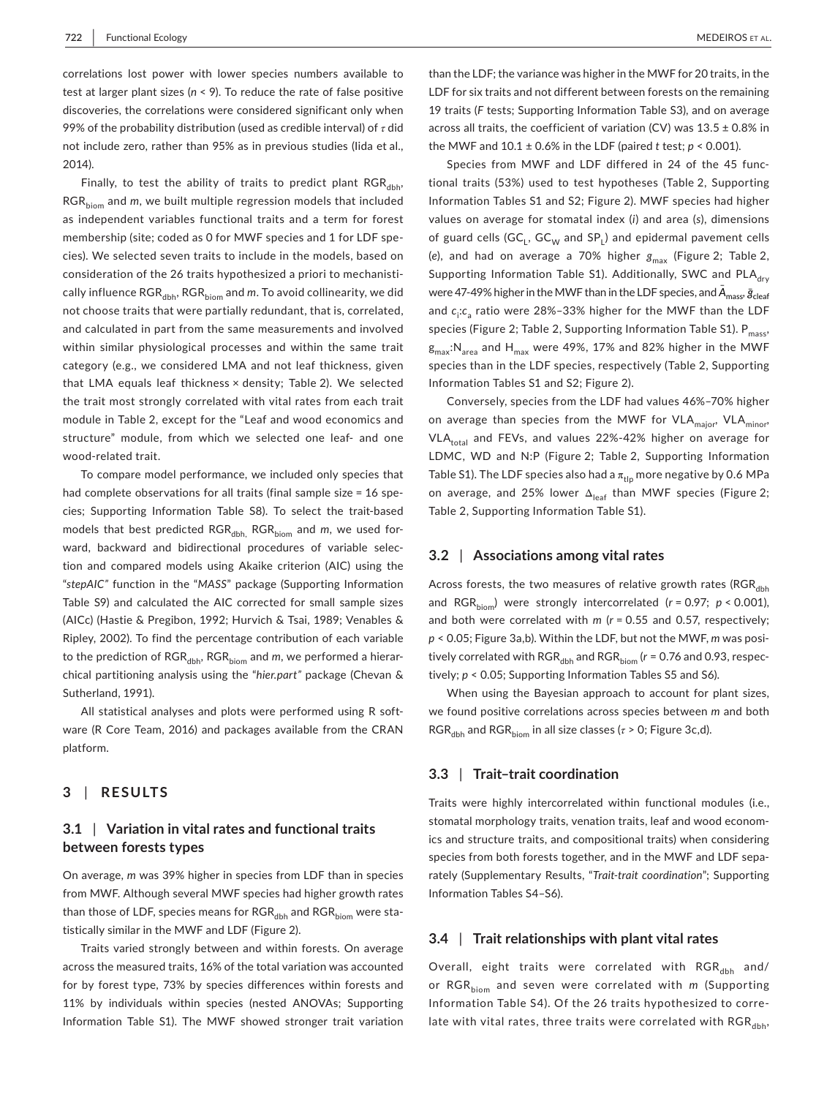test at larger plant sizes (*n* < 9). To reduce the rate of false positive 99% of the probability distribution (used as credible interval) of *τ* did not include zero, rather than 95% as in previous studies (Iida et al., correlations lost power with lower species numbers available to discoveries, the correlations were considered significant only when 2014).

 category (e.g., we considered LMA and not leaf thickness, given that LMA equals leaf thickness × density; Table 2). We selected structure" module, from which we selected one leaf- and one Finally, to test the ability of traits to predict plant  $RGR_{dbb}$ RGR<sub>biom</sub> and *m*, we built multiple regression models that included as independent variables functional traits and a term for forest membership (site; coded as 0 for MWF species and 1 for LDF species). We selected seven traits to include in the models, based on consideration of the 26 traits hypothesized a priori to mechanistically influence RGR<sub>dbh</sub>, RGR<sub>biom</sub> and *m*. To avoid collinearity, we did not choose traits that were partially redundant, that is, correlated, and calculated in part from the same measurements and involved within similar physiological processes and within the same trait the trait most strongly correlated with vital rates from each trait module in Table 2, except for the "Leaf and wood economics and wood-related trait.

 had complete observations for all traits (final sample size = 16 spe- cies; Supporting Information Table S8). To select the trait-based tion and compared models using Akaike criterion (AIC) using the Table S9) and calculated the AIC corrected for small sample sizes (AICc) (Hastie & Pregibon, 1992; Hurvich & Tsai, 1989; Venables & To compare model performance, we included only species that models that best predicted RGR<sub>dbh,</sub> RGR<sub>biom</sub> and *m*, we used forward, backward and bidirectional procedures of variable selec-"*stepAIC"* function in the "*MASS*" package (Supporting Information Ripley, 2002). To find the percentage contribution of each variable to the prediction of RGR<sub>dbh</sub>, RGR<sub>biom</sub> and *m*, we performed a hierarchical partitioning analysis using the "*hier.part"* package (Chevan & Sutherland, 1991).

 All statistical analyses and plots were performed using R soft- ware (R Core Team, 2016) and packages available from the CRAN platform.

#### **3**  | **RESULTS**

## **3.1** | **Variation in vital rates and functional traits between forests types**

 On average, *m* was 39% higher in species from LDF than in species from MWF. Although several MWF species had higher growth rates than those of LDF, species means for  $RGR_{\text{dbh}}$  and  $RGR_{\text{biom}}$  were statistically similar in the MWF and LDF (Figure 2).

 11% by individuals within species (nested ANOVAs; Supporting Traits varied strongly between and within forests. On average across the measured traits, 16% of the total variation was accounted for by forest type, 73% by species differences within forests and Information Table S1). The MWF showed stronger trait variation

 19 traits (*F* tests; Supporting Information Table S3), and on average across all traits, the coefficient of variation (CV) was  $13.5 \pm 0.8\%$  in the MWF and 10.1 ± 0.6% in the LDF (paired *t* test; *p* < 0.001). than the LDF; the variance was higher in the MWF for 20 traits, in the LDF for six traits and not different between forests on the remaining

 Species from MWF and LDF differed in 24 of the 45 func- tional traits (53%) used to test hypotheses (Table 2, Supporting Supporting Information Table S1). Additionally, SWC and PLA<sub>dry</sub> species (Figure 2; Table 2, Supporting Information Table S1).  $\mathsf{P}_{\mathsf{mass}},$  $\rm g_{max}$ : $\rm N_{\rm area}$  and  $\rm H_{\rm max}$  were 49%, 17% and 82% higher in the MWF Information Tables S1 and S2; Figure 2). MWF species had higher values on average for stomatal index (*i*) and area (*s*), dimensions of guard cells  $(GC_L, GC_W$  and  $SP_L$ ) and epidermal pavement cells (e), and had on average a 70% higher  $g_{\text{max}}$  (Figure 2; Table 2, were 47-49% higher in the MWF than in the LDF species, and  $\bar{A}_{\text{mass}}\,\bar{g}_{\text{clean}}$ and  $c_i$ : $c_a$  ratio were 28%–33% higher for the MWF than the LDF species than in the LDF species, respectively (Table 2, Supporting Information Tables S1 and S2; Figure 2).

 Conversely, species from the LDF had values 46%–70% higher on average than species from the MWF for VLA<sub>major</sub>, VLA<sub>minor</sub>, VLA<sub>total</sub> and FEVs, and values 22%-42% higher on average for LDMC, WD and N:P (Figure 2; Table 2, Supporting Information Table S1). The LDF species also had a  $\pi_{\text{tip}}$  more negative by 0.6 MPa on average, and 25% lower  $\Delta_{\mathsf{leaf}}$  than MWF species (Figure 2; Table 2, Supporting Information Table S1).

### **3.2** | **Associations among vital rates**

Across forests, the two measures of relative growth rates (RGR<sub>dbh</sub> and RGR<sub>biom</sub>) were strongly intercorrelated (*r* = 0.97; *p* < 0.001), and both were correlated with *m* (*r* = 0.55 and 0.57, respectively; *p* < 0.05; Figure 3a,b). Within the LDF, but not the MWF, *m* was positively correlated with RGR<sub>dbh</sub> and RGR<sub>biom</sub> (*r* = 0.76 and 0.93, respec- tively; *p* < 0.05; Supporting Information Tables S5 and S6).

 $\mathsf{RGR}_{\mathsf{dbh}}$  and  $\mathsf{RGR}_{\mathsf{biom}}$  in all size classes ( $\tau$  > 0; Figure 3c,d). When using the Bayesian approach to account for plant sizes, we found positive correlations across species between *m* and both

#### **3.3** | **Trait–trait coordination**

 stomatal morphology traits, venation traits, leaf and wood econom- Information Tables S4–S6). Traits were highly intercorrelated within functional modules (i.e., ics and structure traits, and compositional traits) when considering species from both forests together, and in the MWF and LDF separately (Supplementary Results, "*Trait-trait coordination*"; Supporting

#### **3.4** | **Trait relationships with plant vital rates**

 Information Table S4). Of the 26 traits hypothesized to corre-Overall, eight traits were correlated with  $RGR_{dbh}$  and/ or RGR<sub>biom</sub> and seven were correlated with *m* (Supporting late with vital rates, three traits were correlated with  $RGR_{dbh}$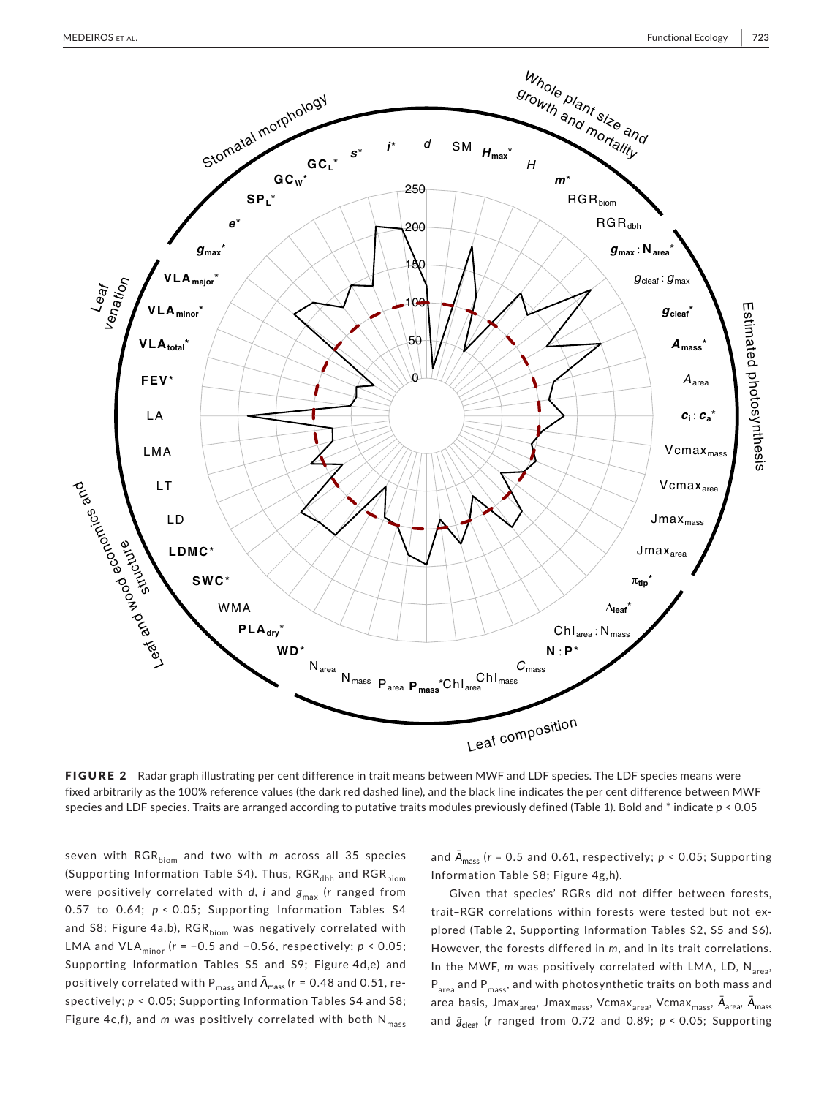

FIGURE 2 Radar graph illustrating per cent difference in trait means between MWF and LDF species. The LDF species means were fixed arbitrarily as the 100% reference values (the dark red dashed line), and the black line indicates the per cent difference between MWF species and LDF species. Traits are arranged according to putative traits modules previously defined (Table 1). Bold and \* indicate *p* < 0.05

 seven with RGRbiom and two with *m* across all 35 species (Supporting Information Table S4). Thus, RGR<sub>dbh</sub> and RGR<sub>biom</sub> 0.57 to 0.64; *p* < 0.05; Supporting Information Tables S4 and S8; Figure 4a,b), RGR<sub>biom</sub> was negatively correlated with LMA and VLAminor (*r* = −0.5 and −0.56, respectively; *p* < 0.05; Supporting Information Tables S5 and S9; Figure 4d,e) and positively correlated with P $_{\rm mass}$  and  $\bar{A}_{\rm mass}$  ( $r$  = 0.48 and 0.51, re- spectively; *p* < 0.05; Supporting Information Tables S4 and S8; Figure 4c,f), and *m* was positively correlated with both N<sub>mass</sub> were positively correlated with *d*, *i* and  $g_{\text{max}}$  (*r* ranged from

 and *̄ A*mass (*r* = 0.5 and 0.61, respectively; *p* < 0.05; Supporting Information Table S8; Figure 4g,h).

 plored (Table 2, Supporting Information Tables S2, S5 and S6). In the MWF, *m* was positively correlated with LMA, LD, N<sub>area</sub>, and *ḡ*cleaf (*r* ranged from 0.72 and 0.89; *<sup>p</sup>*<sup>&</sup>lt; 0.05; SupportingGiven that species' RGRs did not differ between forests, trait–RGR correlations within forests were tested but not ex-However, the forests differed in *m*, and in its trait correlations.  ${\mathsf P}_{\sf area}$  and  ${\mathsf P}_{\sf mass}$ , and with photosynthetic traits on both mass and area basis, Jmax<sub>area</sub>, Jmax<sub>mass</sub>, Vcmax<sub>area</sub>, Vcmax<sub>mass</sub>,  $\bar{A}_{\text{area}}$ ,  $\bar{A}_{\text{mass}}$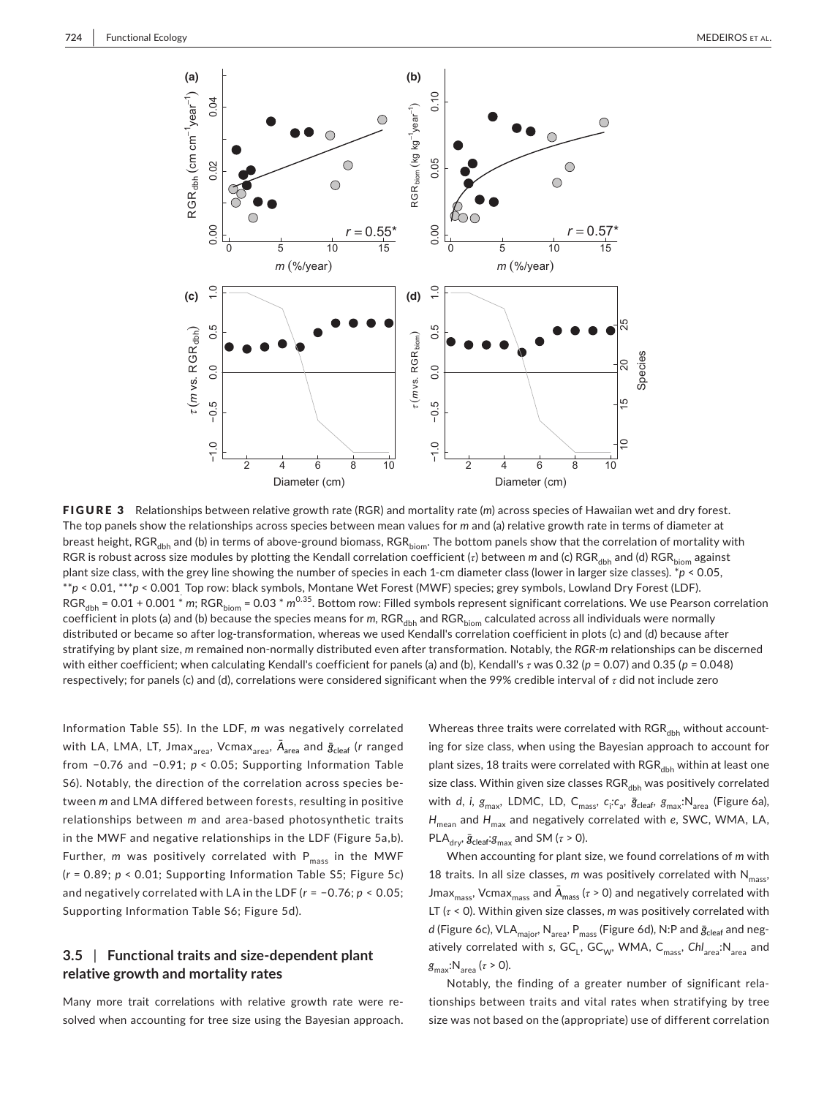

breast height, RGR<sub>dbh</sub> and (b) in terms of above-ground biomass, RGR<sub>biom</sub>. The bottom panels show that the correlation of mortality with plant size class, with the grey line showing the number of species in each 1-cm diameter class (lower in larger size classes). \**p* < 0.05, \*\**p* < 0.01, \*\*\**p* < 0.001 Top row: black symbols, Montane Wet Forest (MWF) species; grey symbols, Lowland Dry Forest (LDF). RGR<sub>dbh</sub> = 0.01 + 0.001 \* *m*; RGR<sub>biom</sub> = 0.03 \* *m*<sup>0.35</sup>. Bottom row: Filled symbols represent significant correlations. We use Pearson correlation distributed or became so after log-transformation, whereas we used Kendall's correlation coefficient in plots (c) and (d) because after stratifying by plant size, *m* remained non-normally distributed even after transformation. Notably, the *RGR-m* relationships can be discerned with either coefficient; when calculating Kendall's coefficient for panels (a) and (b), Kendall's *τ* was 0.32 (*p* = 0.07) and 0.35 (*p* = 0.048) respectively; for panels (c) and (d), correlations were considered significant when the 99% credible interval of *τ* did not include zero FIGURE 3 Relationships between relative growth rate (RGR) and mortality rate (*m*) across species of Hawaiian wet and dry forest. The top panels show the relationships across species between mean values for *m* and (a) relative growth rate in terms of diameter at RGR is robust across size modules by plotting the Kendall correlation coefficient (τ) between *m* and (c) RGR<sub>dbb</sub> and (d) RGR<sub>biom</sub> against coefficient in plots (a) and (b) because the species means for *m*, RGR<sub>dbh</sub> and RGR<sub>biom</sub> calculated across all individuals were normally

 Information Table S5). In the LDF, *m* was negatively correlated with LA, LMA, LT, Jmax $_{\rm area}$ , Vcmax $_{\rm area}$ ,  $\bar{\bm A}_{\rm area}$  and  $\bar{\bm g}_{\rm clear}$  (r ranged from −0.76 and −0.91; *p* < 0.05; Supporting Information Table tween *m* and LMA differed between forests, resulting in positive relationships between *m* and area-based photosynthetic traits in the MWF and negative relationships in the LDF (Figure 5a,b). (*r* = 0.89; *p* < 0.01; Supporting Information Table S5; Figure 5c) and negatively correlated with LA in the LDF (*r* = −0.76; *p* < 0.05; Supporting Information Table S6; Figure 5d). S6). Notably, the direction of the correlation across species be-Further,  $m$  was positively correlated with  $P_{\text{mass}}$  in the MWF

## **3.5** | **Functional traits and size‐dependent plant relative growth and mortality rates**

Many more trait correlations with relative growth rate were resolved when accounting for tree size using the Bayesian approach.

 PLA dry, *ḡ*cleaf:*g*max and SM (*<sup>τ</sup>* > 0). Whereas three traits were correlated with  $RGR_{dbh}$  without accounting for size class, when using the Bayesian approach to account for plant sizes, 18 traits were correlated with RGR<sub>dbh</sub> within at least one size class. Within given size classes  $RGR_{dbh}$  was positively correlated with *d*, *i*,  $g_{max}$ , LDMC, LD, C<sub>mass</sub>,  $c_i$ : $c_a$ ,  $\bar{g}_{clear}$ ,  $g_{max}$ : $N_{area}$  (Figure 6a),  $H_\mathsf{mean}$  and  $H_\mathsf{max}$  and negatively correlated with  $e$ , SWC, WMA, LA,

 $J$ max $_{\rm mass}$ , Vcmax $_{\rm mass}$  and  $\bar{A}_{\rm mass}$  ( $\tau$  > 0) and negatively correlated with LT (*τ* < 0). Within given size classes, *m* was positively correlated with *d* (Figure 6c), VLA<sub>major</sub>, N<sub>area</sub>, P<sub>mass</sub> (Figure 6d), N:P and  $\bar{g}_{\text{clear}}$  and neg $g_{\text{max}}$ : $N_{\text{area}}$  ( $\tau$  > 0). When accounting for plant size, we found correlations of *m* with 18 traits. In all size classes,  $m$  was positively correlated with  $N_{\rm mass}$ , atively correlated with *s*, GC<sub>L</sub>, GC<sub>W</sub>, WMA, C<sub>mass</sub>, Chl<sub>area</sub>:N<sub>area</sub> and

Notably, the finding of a greater number of significant relationships between traits and vital rates when stratifying by tree size was not based on the (appropriate) use of different correlation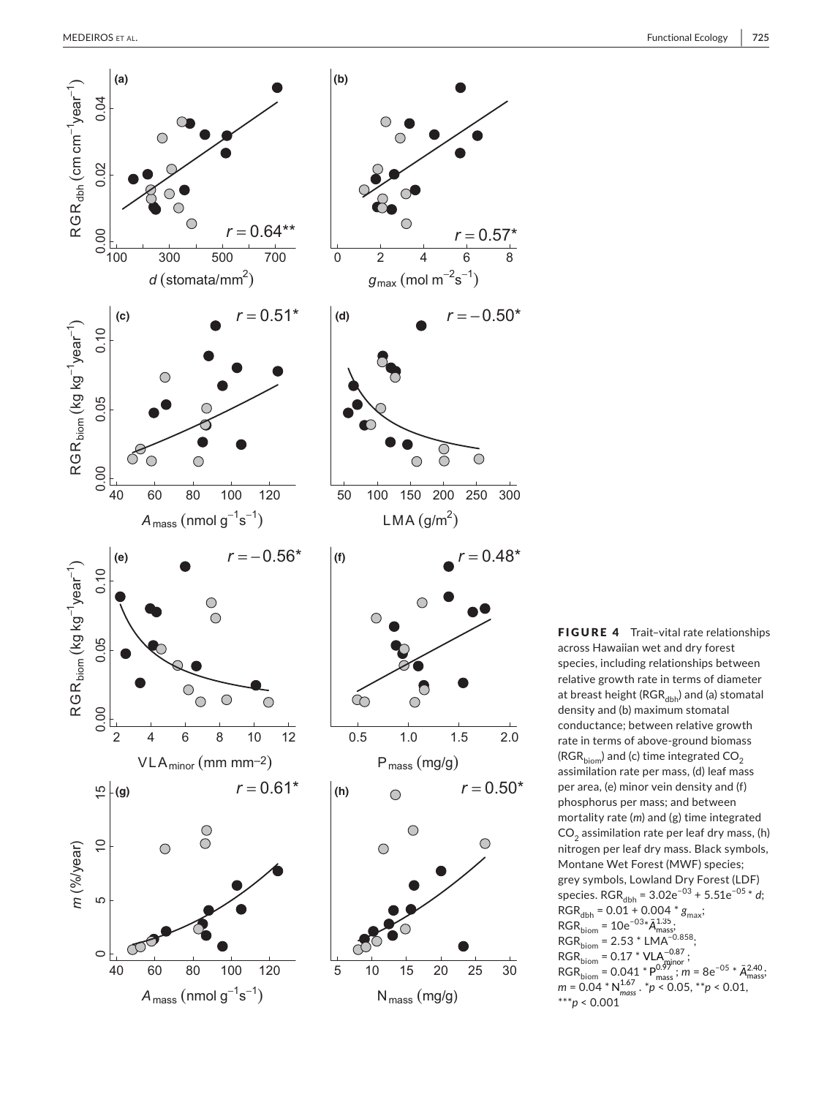

 rate in terms of above-ground biomass species. RGR<sub>dbh</sub> = 3.02e<sup>-03</sup> + 5.51e<sup>-05</sup> \* *d*;  $RGR_{dbh} = 0.01 + 0.004 * g_{max};$  $= 2.53$  \* =  $0.17 * VLA_{\text{minor}}^{-0.87}$ ;<br>=  $0.041 * P_{\text{mse}}^{0.97}$ ;  $m = 8e^{-0.5} * \bar{A}$ FIGURE 4 Trait-vital rate relationships across Hawaiian wet and dry forest species, including relationships between relative growth rate in terms of diameter at breast height ( $RGR_{dbh}$ ) and (a) stomatal density and (b) maximum stomatal conductance; between relative growth (RGR $_{\text{biom}}$ ) and (c) time integrated CO<sub>2</sub> assimilation rate per mass, (d) leaf mass per area, (e) minor vein density and (f) phosphorus per mass; and between mortality rate (*m*) and (g) time integrated  $CO<sub>2</sub>$  assimilation rate per leaf dry mass, (h) nitrogen per leaf dry mass. Black symbols, Montane Wet Forest (MWF) species; grey symbols, Lowland Dry Forest (LDF)  $RGR_{\text{biom}} = 10e^{-03*}\bar{A}_{\text{mass}}^{1.35}$  $RGR_{\text{biom}} = 2.53 * LMA^{-0.858}$ ;  $RGR_{\rm biom} = 0.17 * VLA_{\rm minor}^{-0.87}$ ; RGR<sub>biom</sub> = 0.17 \* VLA<sup>-0.87</sup>;<br>RGR<sub>biom</sub> = 0.041 \*  $P_{mass}^{0.97}$ ; *m* = 8e<sup>-05</sup> \*  $\bar{A}_{mass}^{2.40}$ ;  $m = 0.04^*$  M  $m_{\text{mass}}^{\text{1.67}}$ ,  $m = 0.05$ ,  $m = 0.01$ ,  $m = 0.04^*$  N  $m_{\text{mass}}^{\text{1.67}}$ ,  $m = 0.05$ ,  $m = 0.01$ , \*\*\**p* < 0.001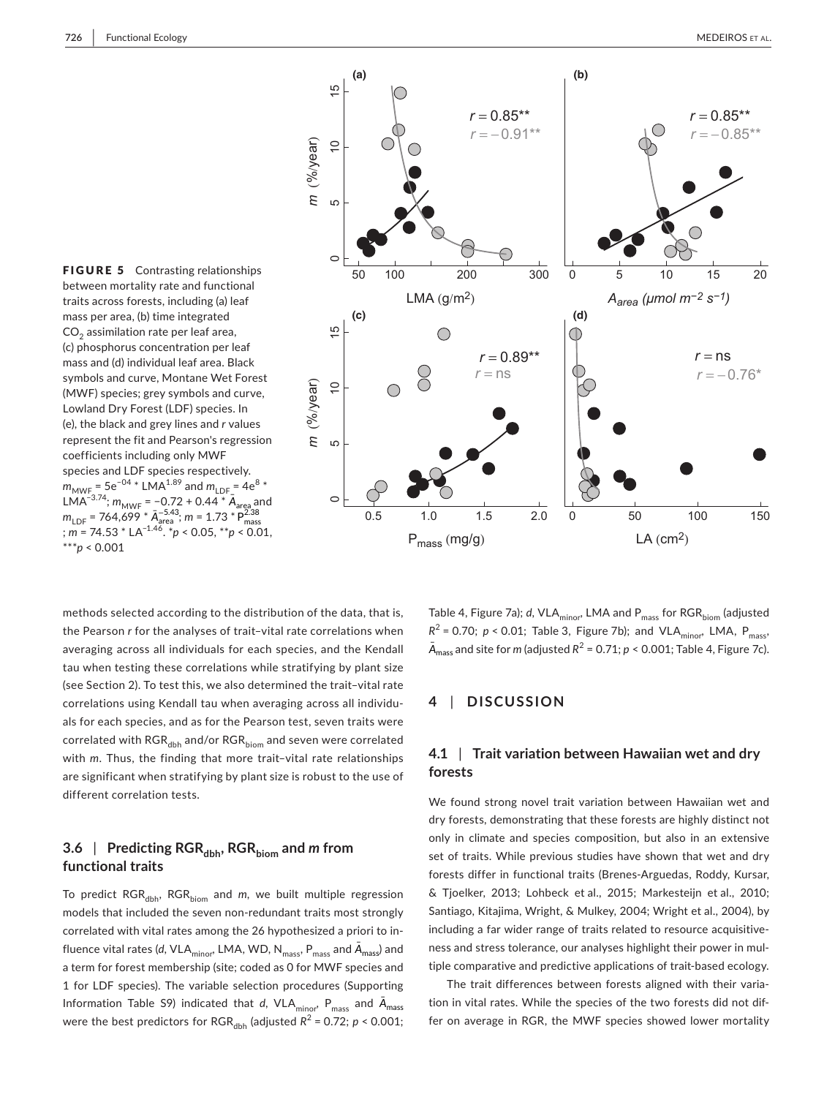

 $m_{\text{MWF}}$  = 5e<sup>−04</sup> \* LMA<sup>1.89</sup> and  $m_{\text{LDF}}$  = 4e<sup>8</sup> \* <sup>*-*3.74</sup>; *m*<sub>MWF</sub> = −0.72 + 0.44 \* **Ā**<br>= 764,699 \* Ā<sub>area</sub>; *m* = 1.73 \*  $= 74.53 * LA^{-1.46}$ . \* $p < 0.05$ , \*\* $p$ FIGURE 5 Contrasting relationships between mortality rate and functional traits across forests, including (a) leaf mass per area, (b) time integrated CO<sub>2</sub> assimilation rate per leaf area, (c) phosphorus concentration per leaf mass and (d) individual leaf area. Black symbols and curve, Montane Wet Forest (MWF) species; grey symbols and curve, Lowland Dry Forest (LDF) species. In (e), the black and grey lines and *r* values represent the fit and Pearson's regression coefficients including only MWF species and LDF species respectively. LMA<sup>−3.74</sup>; *m<sub>MWF</sub> = −*0.72 + 0.44 \* Ā<sub>area</sub> and<br>*m<sub>LDF</sub> = 764*,699 \* Ā<sub>area</sub> ; *m* = 1.73 \* P $^{2.38}_{\rm mass}$ ; *m* = 74.53 \* LA−1.46. \**p* < 0.05, \*\**p* < 0.01, \*\*\**p* < 0.001

correlated with RGR<sub>dbh</sub> and/or RGR<sub>biom</sub> and seven were correlated methods selected according to the distribution of the data, that is, the Pearson *r* for the analyses of trait–vital rate correlations when averaging across all individuals for each species, and the Kendall tau when testing these correlations while stratifying by plant size (see Section 2). To test this, we also determined the trait–vital rate correlations using Kendall tau when averaging across all individuals for each species, and as for the Pearson test, seven traits were with *m*. Thus, the finding that more trait–vital rate relationships are significant when stratifying by plant size is robust to the use of different correlation tests.

## **3.6** | **Predicting RGRdbh, RGRbiom and** *m* **from functional traits**

 models that included the seven non-redundant traits most strongly fluence vital rates (d, VLA<sub>minor</sub>, LMA, WD, N<sub>mass</sub>, P<sub>mass</sub> and  $\bar A_{\mathsf{mass}}$ ) and Information Table S9) indicated that *d*, VLA $_{\text{minor}}$ , P $_{\text{mass}}$  and  $\bar{A}_{\text{mass}}$ were the best predictors for  $\text{RGR}_{\text{dbh}}$  (adjusted  $R^2$  = 0.72;  $p$  < 0.001; To predict RGR<sub>dbh</sub>, RGR<sub>biom</sub> and *m*, we built multiple regression correlated with vital rates among the 26 hypothesized a priori to ina term for forest membership (site; coded as 0 for MWF species and 1 for LDF species). The variable selection procedures (Supporting

Table 4, Figure 7a); *d*, VLA<sub>minor</sub>, LMA and P<sub>mass</sub> for RGR<sub>biom</sub> (adjusted  $R^2$  = 0.70; *p* < 0.01; Table 3, Figure 7b); and VLA<sub>minor</sub>, LMA, P<sub>mass</sub>,  $\bar{A}_{mass}$  and site for *m* (adjusted  $R^2 = 0.71$ ; *p* < 0.001; Table 4, Figure 7c).

## **4**  | **DISCUSSION**

## **4.1** | **Trait variation between Hawaiian wet and dry forests**

 forests differ in functional traits (Brenes-Arguedas, Roddy, Kursar, & Tjoelker, 2013; Lohbeck et al., 2015; Markesteijn et al., 2010; Santiago, Kitajima, Wright, & Mulkey, 2004; Wright et al., 2004), by tiple comparative and predictive applications of trait-based ecology. We found strong novel trait variation between Hawaiian wet and dry forests, demonstrating that these forests are highly distinct not only in climate and species composition, but also in an extensive set of traits. While previous studies have shown that wet and dry including a far wider range of traits related to resource acquisitiveness and stress tolerance, our analyses highlight their power in mul-

The trait differences between forests aligned with their variation in vital rates. While the species of the two forests did not differ on average in RGR, the MWF species showed lower mortality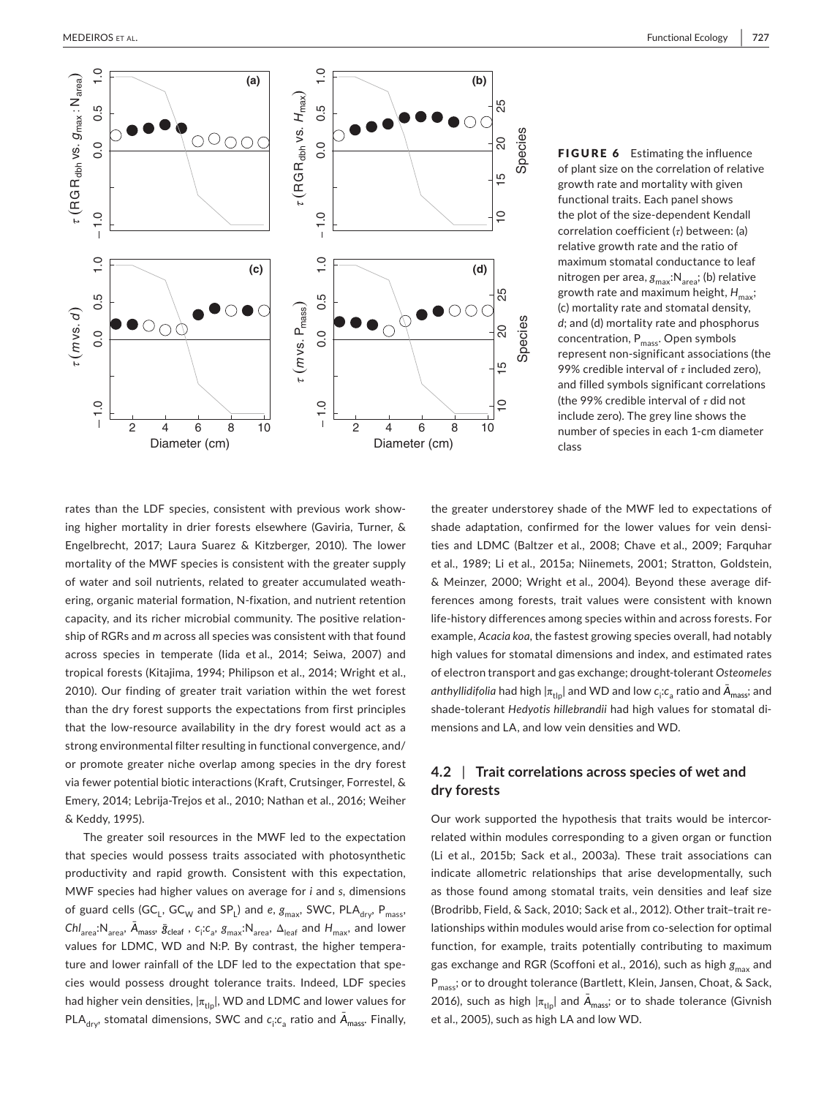

FIGURE 6 Estimating the influence of plant size on the correlation of relative growth rate and mortality with given functional traits. Each panel shows the plot of the size-dependent Kendall correlation coefficient (*τ*) between: (a) relative growth rate and the ratio of maximum stomatal conductance to leaf nitrogen per area, g<sub>max</sub>:N<sub>area</sub>; (b) relative growth rate and maximum height,  $H_{\sf max}$ ; (c) mortality rate and stomatal density, *d*; and (d) mortality rate and phosphorus concentration, P<sub>mass</sub>. Open symbols represent non-significant associations (the 99% credible interval of *τ* included zero), and filled symbols significant correlations (the 99% credible interval of *τ* did not include zero). The grey line shows the number of species in each 1-cm diameter class

 ering, organic material formation, N-fixation, and nutrient retention across species in temperate (Iida et al., 2014; Seiwa, 2007) and tropical forests (Kitajima, 1994; Philipson et al., 2014; Wright et al., that the low-resource availability in the dry forest would act as a Emery, 2014; Lebrija-Trejos et al., 2010; Nathan et al., 2016; Weiher & Keddy, 1995). rates than the LDF species, consistent with previous work showing higher mortality in drier forests elsewhere (Gaviria, Turner, & Engelbrecht, 2017; Laura Suarez & Kitzberger, 2010). The lower mortality of the MWF species is consistent with the greater supply of water and soil nutrients, related to greater accumulated weathcapacity, and its richer microbial community. The positive relationship of RGRs and *m* across all species was consistent with that found 2010). Our finding of greater trait variation within the wet forest than the dry forest supports the expectations from first principles strong environmental filter resulting in functional convergence, and/ or promote greater niche overlap among species in the dry forest via fewer potential biotic interactions (Kraft, Crutsinger, Forrestel, &

The greater soil resources in the MWF led to the expectation that species would possess traits associated with photosynthetic productivity and rapid growth. Consistent with this expectation, MWF species had higher values on average for *i* and *s*, dimensions of guard cells (GC<sub>L</sub>, GC<sub>W</sub> and SP<sub>L</sub>) and *e*,  $g_{\text{max}}$ , SWC, PLA<sub>dry</sub>, P<sub>mass</sub>,  $\chi^2$  ,  $\bar{A}_{\text{meas}}$ ,  $\bar{A}_{\text{mass}}$ ,  $\bar{g}_{\text{clear}}$ ,  $c_i$ ;  $c_a$ ,  $g_{\text{max}}$ ;  $N_{\text{area}}$ ,  $\Delta_{\text{leaf}}$  and  $H_{\text{max}}$ , and lower values for LDMC, WD and N:P. By contrast, the higher tempera ture and lower rainfall of the LDF led to the expectation that species would possess drought tolerance traits. Indeed, LDF species had higher vein densities,  $|\pi_{\text{tip}}|$ , WD and LDMC and lower values for PLA<sub>dry</sub>, stomatal dimensions, SWC and  $c_i$ : $c_a$  ratio and  $\bar{A}_{mass}$ . Finally,

 ties and LDMC (Baltzer et al., 2008; Chave et al., 2009; Farquhar et al., 1989; Li et al., 2015a; Niinemets, 2001; Stratton, Goldstein, & Meinzer, 2000; Wright et al., 2004). Beyond these average dif- life-history differences among species within and across forests. For of electron transport and gas exchange; drought-tolerant *Osteomeles*  mensions and LA, and low vein densities and WD. the greater understorey shade of the MWF led to expectations of shade adaptation, confirmed for the lower values for vein densiferences among forests, trait values were consistent with known example, *Acacia koa*, the fastest growing species overall, had notably high values for stomatal dimensions and index, and estimated rates  $a$ nthyllidifolia had high  $|\pi_\mathsf{tip}|$  and WD and low  $c_\mathsf{i}$ : $c_\mathsf{a}$  ratio and  $\bar{\mathsf{A}}_\mathsf{mass}$ ; and shade-tolerant *Hedyotis hillebrandii* had high values for stomatal di-

## **4.2** | **Trait correlations across species of wet and dry forests**

 lationships within modules would arise from co-selection for optimal Our work supported the hypothesis that traits would be intercorrelated within modules corresponding to a given organ or function (Li et al., 2015b; Sack et al., 2003a). These trait associations can indicate allometric relationships that arise developmentally, such as those found among stomatal traits, vein densities and leaf size (Brodribb, Field, & Sack, 2010; Sack et al., 2012). Other trait–trait refunction, for example, traits potentially contributing to maximum gas exchange and RGR (Scoffoni et al., 2016), such as high  $g_{\rm max}$  and P<sub>mass</sub>; or to drought tolerance (Bartlett, Klein, Jansen, Choat, & Sack, 2016), such as high  $|\pi_{\text{tip}}|$  and  $\bar{A}_{\text{mass}}$ ; or to shade tolerance (Givnish et al., 2005), such as high LA and low WD.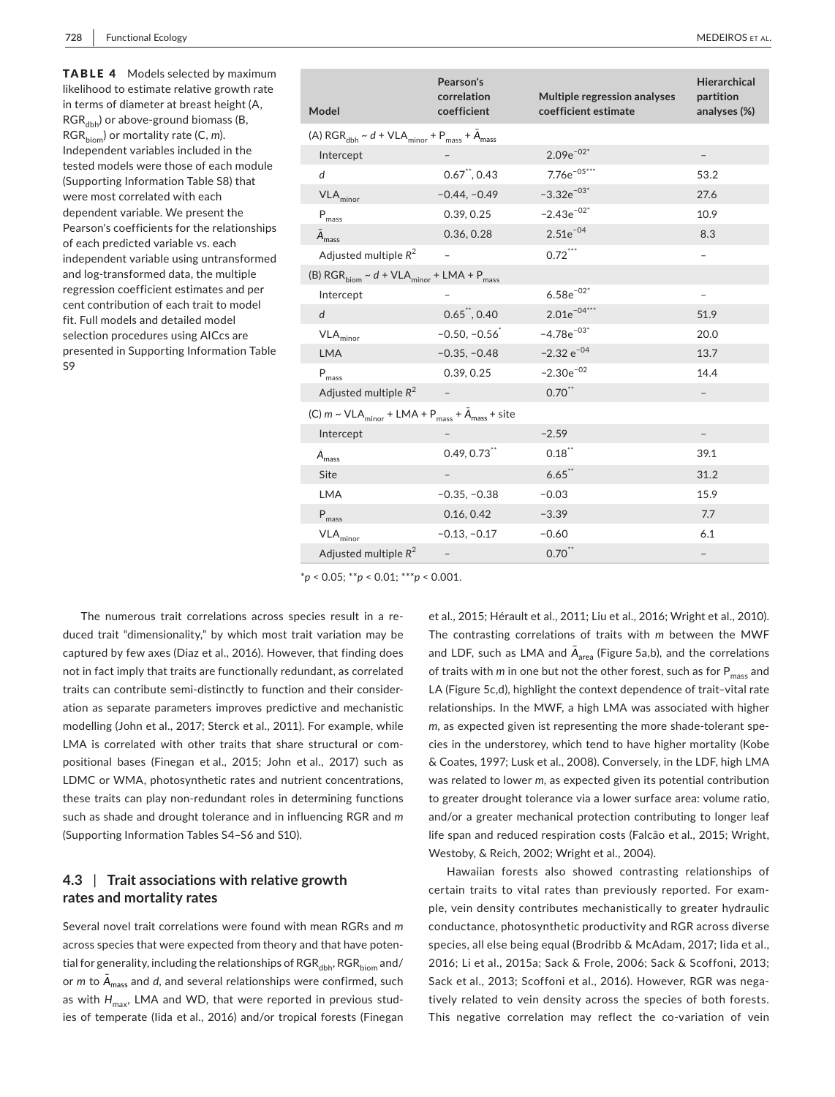| <b>TABLE 4</b> Models selected by maximum        |  |  |  |  |  |  |  |
|--------------------------------------------------|--|--|--|--|--|--|--|
| likelihood to estimate relative growth rate      |  |  |  |  |  |  |  |
| in terms of diameter at breast height (A,        |  |  |  |  |  |  |  |
| RGR <sub>dbb</sub> ) or above-ground biomass (B, |  |  |  |  |  |  |  |
| $RGR_{\text{hiom}}$ ) or mortality rate (C, m).  |  |  |  |  |  |  |  |
| Independent variables included in the            |  |  |  |  |  |  |  |
| tested models were those of each module          |  |  |  |  |  |  |  |
| (Supporting Information Table S8) that           |  |  |  |  |  |  |  |
| were most correlated with each                   |  |  |  |  |  |  |  |
| dependent variable. We present the               |  |  |  |  |  |  |  |
| Pearson's coefficients for the relationships     |  |  |  |  |  |  |  |
| of each predicted variable vs. each              |  |  |  |  |  |  |  |
| independent variable using untransformed         |  |  |  |  |  |  |  |
| and log-transformed data, the multiple           |  |  |  |  |  |  |  |
| regression coefficient estimates and per         |  |  |  |  |  |  |  |
| cent contribution of each trait to model         |  |  |  |  |  |  |  |
| fit. Full models and detailed model              |  |  |  |  |  |  |  |
| selection procedures using AICcs are             |  |  |  |  |  |  |  |
| presented in Supporting Information Table<br>S9  |  |  |  |  |  |  |  |
|                                                  |  |  |  |  |  |  |  |

| Model                                                                       | Pearson's<br>correlation<br>coefficient | Multiple regression analyses<br>coefficient estimate | <b>Hierarchical</b><br>partition<br>analyses (%) |
|-----------------------------------------------------------------------------|-----------------------------------------|------------------------------------------------------|--------------------------------------------------|
| (A) $RGR_{dbh} \sim d + VLA_{minor} + P_{mass} + A_{mass}$                  |                                         |                                                      |                                                  |
| Intercept                                                                   |                                         | $2.09e^{-02*}$                                       |                                                  |
| d                                                                           | $0.67$ ", $0.43$                        | 7.76 $e^{-05***}$                                    | 53.2                                             |
| $VLA_{minor}$                                                               | $-0.44, -0.49$                          | $-3.32e^{-03*}$                                      | 27.6                                             |
| $\mathsf{P}_{\mathsf{mass}}$                                                | 0.39, 0.25                              | $-2.43e^{-02^*}$                                     | 10.9                                             |
| A <sub>mass</sub>                                                           | 0.36, 0.28                              | $2.51e^{-04}$                                        | 8.3                                              |
| Adjusted multiple $R^2$                                                     |                                         | $0.72$ ***                                           |                                                  |
| (B) $RGR_{\text{biom}} \sim d + VLA_{\text{minor}} + LMA + P_{\text{mass}}$ |                                         |                                                      |                                                  |
| Intercept                                                                   |                                         | $6.58e^{-02*}$                                       |                                                  |

| $\ensuremath{\mathsf{VLA}}_\mathsf{minor}$                                                                  | $-0.50, -0.56$             | $-4.78e^{-03*}$ | 20.0              |
|-------------------------------------------------------------------------------------------------------------|----------------------------|-----------------|-------------------|
| <b>LMA</b>                                                                                                  | $-0.35, -0.48$             | $-2.32 e^{-04}$ | 13.7              |
| $P_{\text{mass}}$                                                                                           | 0.39, 0.25                 | $-2.30e^{-02}$  | 14.4              |
| Adjusted multiple $R^2$                                                                                     |                            | $0.70$ **       | $\qquad \qquad -$ |
| (C) $m \sim \text{VLA}_{\text{minor}} + \text{LMA} + P_{\text{mass}} + \bar{A}_{\text{mass}} + \text{site}$ |                            |                 |                   |
| Intercept                                                                                                   |                            | $-2.59$         | $\qquad \qquad -$ |
| A <sub>mass</sub>                                                                                           | $0.49, 0.73$ <sup>**</sup> | $0.18$ **       | 39.1              |
| Site                                                                                                        | $\qquad \qquad -$          | $6.65$ **       | 31.2              |
| <b>LMA</b>                                                                                                  | $-0.35, -0.38$             | $-0.03$         | 15.9              |
| $P_{\text{mass}}$                                                                                           | 0.16, 0.42                 | $-3.39$         | 7.7               |
| $\ensuremath{\mathsf{VLA}}_\mathsf{minor}$                                                                  | $-0.13, -0.17$             | $-0.60$         | 6.1               |
| Adjusted multiple $R^2$                                                                                     |                            | $0.70$ **       | $\qquad \qquad$   |
|                                                                                                             |                            |                 |                   |

*d* 0.65\*\*, 0.40 2.01e−04\*\*\* 51.9

 \**p* < 0.05; \*\**p* < 0.01; \*\*\**p* < 0.001.

 traits can contribute semi-distinctly to function and their consider- LMA is correlated with other traits that share structural or com- positional bases (Finegan et al., 2015; John et al., 2017) such as LDMC or WMA, photosynthetic rates and nutrient concentrations, these traits can play non-redundant roles in determining functions (Supporting Information Tables S4–S6 and S10). The numerous trait correlations across species result in a reduced trait "dimensionality," by which most trait variation may be captured by few axes (Diaz et al., 2016). However, that finding does not in fact imply that traits are functionally redundant, as correlated ation as separate parameters improves predictive and mechanistic modelling (John et al., 2017; Sterck et al., 2011). For example, while such as shade and drought tolerance and in influencing RGR and *m* 

## **4.3** | **Trait associations with relative growth rates and mortality rates**

as with  $H_{\sf max}$ , LMA and WD, that were reported in previous stud-Several novel trait correlations were found with mean RGRs and *m*  across species that were expected from theory and that have potential for generality, including the relationships of  $RGR_{dbb}$ ,  $RGR_{biom}$  and/ or  $m$  to  $\bar{A}_{\text{mass}}$  and  $d$ , and several relationships were confirmed, such ies of temperate (Iida et al., 2016) and/or tropical forests (Finegan

et al., 2015; Hérault et al., 2011; Liu et al., 2016; Wright et al., 2010). The contrasting correlations of traits with *m* between the MWF and LDF, such as LMA and  $\bar{A}_{\text{area}}$  (Figure 5a,b), and the correlations of traits with *m* in one but not the other forest, such as for P<sub>mass</sub> and LA (Figure 5c,d), highlight the context dependence of trait–vital rate relationships. In the MWF, a high LMA was associated with higher *m*, as expected given ist representing the more shade-tolerant species in the understorey, which tend to have higher mortality (Kobe & Coates, 1997; Lusk et al., 2008). Conversely, in the LDF, high LMA was related to lower *m*, as expected given its potential contribution to greater drought tolerance via a lower surface area: volume ratio, and/or a greater mechanical protection contributing to longer leaf life span and reduced respiration costs (Falcão et al., 2015; Wright, Westoby, & Reich, 2002; Wright et al., 2004).

 species, all else being equal (Brodribb & McAdam, 2017; Iida et al., 2016; Li et al., 2015a; Sack & Frole, 2006; Sack & Scoffoni, 2013; This negative correlation may reflect the co-variation of veinHawaiian forests also showed contrasting relationships of certain traits to vital rates than previously reported. For example, vein density contributes mechanistically to greater hydraulic conductance, photosynthetic productivity and RGR across diverse Sack et al., 2013; Scoffoni et al., 2016). However, RGR was negatively related to vein density across the species of both forests.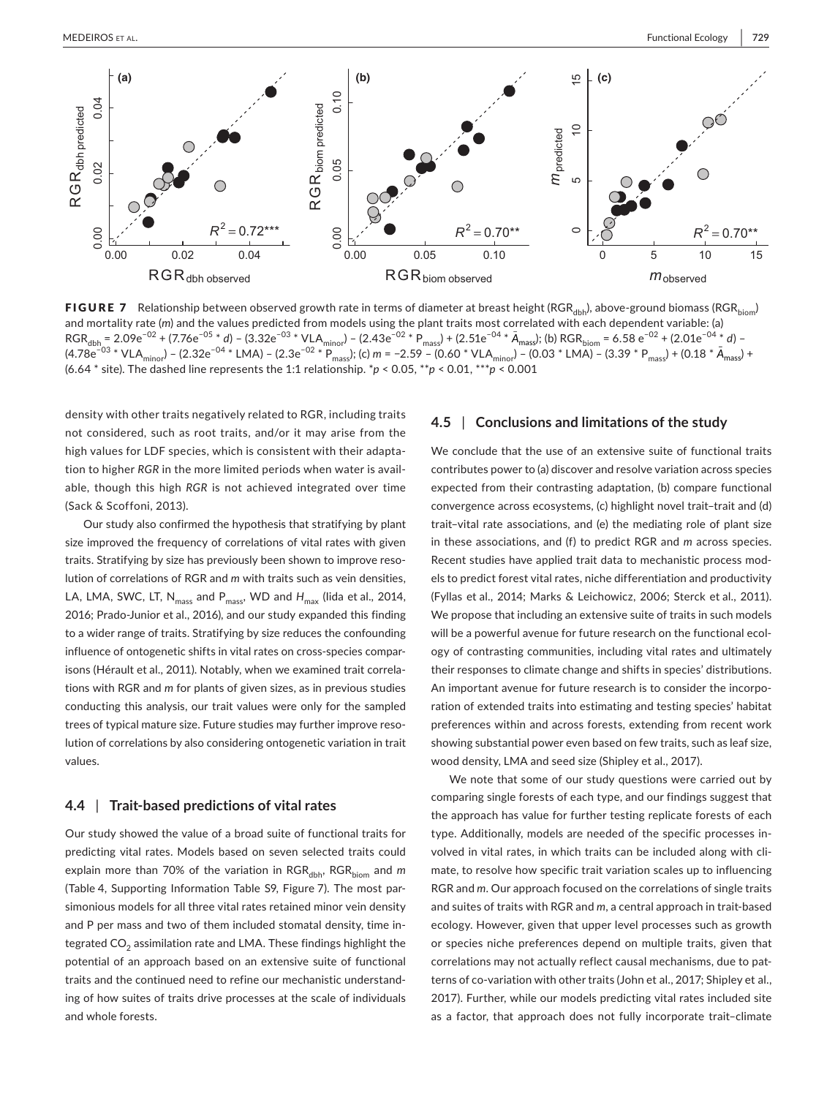

<code>FIGURE 7</code> Relationship between observed growth rate in terms of diameter at breast height (RGR $_{\rm dbh}$ ), above-ground biomass (RGR $_{\rm bion}$ ) = 2.09e<sup>-02</sup> + (7.76e<sup>-03</sup> \* d) – (3.32e<sup>-03</sup> \* VLA<sub>minor</sub>) – (2.43e<sup>-02</sup> \* P<sub>mass</sub>) + (2.51e<sup>-04</sup> \* A<sub>mass</sub>); (b) RGR<sub>hiom</sub> = 6.58 e<sup>-02</sup> \* VLA<sub>minor</sub>) – (2.32e<sup>-04</sup> \* LMA) – (2.3e<sup>-02</sup> \* P<sub>mass</sub>); (c) *m* = –2.59 – (0.60 \* VLA<sub>minor</sub>) – (0.03 \* LMA) – (3.39 \* (6.64 \* site). The dashed line represents the 1:1 relationship. \**p* < 0.05, \*\**p* < 0.01, \*\*\**p* < 0.001 and mortality rate (*m*) and the values predicted from models using the plant traits most correlated with each dependent variable: (a) RGR<sub>dbh</sub> = 2.09e<sup>-02</sup> + (7.76e<sup>-05</sup> \* *d*) – (3.32e<sup>-03</sup> \* VLA<sub>minor</sub>) – (2.43e<sup>-02</sup> \* P<sub>mass</sub>) + (2.51e<sup>-04</sup> \* *Ā<sub>mass</sub>*); (b) RGR<sub>biom</sub> = 6.58 e<sup>-02</sup> + (2.01e<sup>-04</sup> \* *d*) – (4.78e<sup>−03</sup> \* VLA<sub>minor</sub>) – (2.32e<sup>−04</sup> \* LMA) – (2.3e<sup>−02</sup> \*  $\frac{P_{\text{mass}}}{P_{\text{mass}}}$ ; (c) *m* = −2.59 – (0.60 \* VLA<sub>minor</sub>) – (0.03 \* LMA) – (3.39 \* P<sub>mass</sub>) + (0.18 \*  $\bar{A}_{\text{mass}}$ ) +

density with other traits negatively related to RGR, including traits not considered, such as root traits, and/or it may arise from the high values for LDF species, which is consistent with their adaptation to higher *RGR* in the more limited periods when water is available, though this high *RGR* is not achieved integrated over time (Sack & Scoffoni, 2013).

LA, LMA, SWC, LT, N<sub>mass</sub> and P<sub>mass</sub>, WD and H<sub>max</sub> (lida et al., 2014, 2016; Prado-Junior et al., 2016), and our study expanded this finding to a wider range of traits. Stratifying by size reduces the confounding influence of ontogenetic shifts in vital rates on cross-species compar - Our study also confirmed the hypothesis that stratifying by plant size improved the frequency of correlations of vital rates with given traits. Stratifying by size has previously been shown to improve resolution of correlations of RGR and *m* with traits such as vein densities, isons (Hérault et al., 2011). Notably, when we examined trait correlations with RGR and *m* for plants of given sizes, as in previous studies conducting this analysis, our trait values were only for the sampled trees of typical mature size. Future studies may further improve resolution of correlations by also considering ontogenetic variation in trait values.

#### **4.4** | **Trait‐based predictions of vital rates**

 (Table 4, Supporting Information Table S9, Figure 7). The most partegrated CO $_2$  assimilation rate and LMA. These findings highlight the Our study showed the value of a broad suite of functional traits for predicting vital rates. Models based on seven selected traits could explain more than 70% of the variation in RGR<sub>dbh</sub>, RGR<sub>biom</sub> and *m* simonious models for all three vital rates retained minor vein density and P per mass and two of them included stomatal density, time inpotential of an approach based on an extensive suite of functional traits and the continued need to refine our mechanistic understanding of how suites of traits drive processes at the scale of individuals and whole forests.

## **4.5** | **Conclusions and limitations of the study**

 (Fyllas et al., 2014; Marks & Leichowicz, 2006; Sterck et al., 2011). We conclude that the use of an extensive suite of functional traits contributes power to (a) discover and resolve variation across species expected from their contrasting adaptation, (b) compare functional convergence across ecosystems, (c) highlight novel trait–trait and (d) trait–vital rate associations, and (e) the mediating role of plant size in these associations, and (f) to predict RGR and *m* across species. Recent studies have applied trait data to mechanistic process models to predict forest vital rates, niche differentiation and productivity We propose that including an extensive suite of traits in such models will be a powerful avenue for future research on the functional ecology of contrasting communities, including vital rates and ultimately their responses to climate change and shifts in species' distributions. An important avenue for future research is to consider the incorporation of extended traits into estimating and testing species' habitat preferences within and across forests, extending from recent work showing substantial power even based on few traits, such as leaf size, wood density, LMA and seed size (Shipley et al., 2017).

 type. Additionally, models are needed of the specific processes in- and suites of traits with RGR and *m*, a central approach in trait-based terns of co-variation with other traits (John et al., 2017; Shipley et al., We note that some of our study questions were carried out by comparing single forests of each type, and our findings suggest that the approach has value for further testing replicate forests of each volved in vital rates, in which traits can be included along with climate, to resolve how specific trait variation scales up to influencing RGR and *m*. Our approach focused on the correlations of single traits ecology. However, given that upper level processes such as growth or species niche preferences depend on multiple traits, given that correlations may not actually reflect causal mechanisms, due to pat-2017). Further, while our models predicting vital rates included site as a factor, that approach does not fully incorporate trait–climate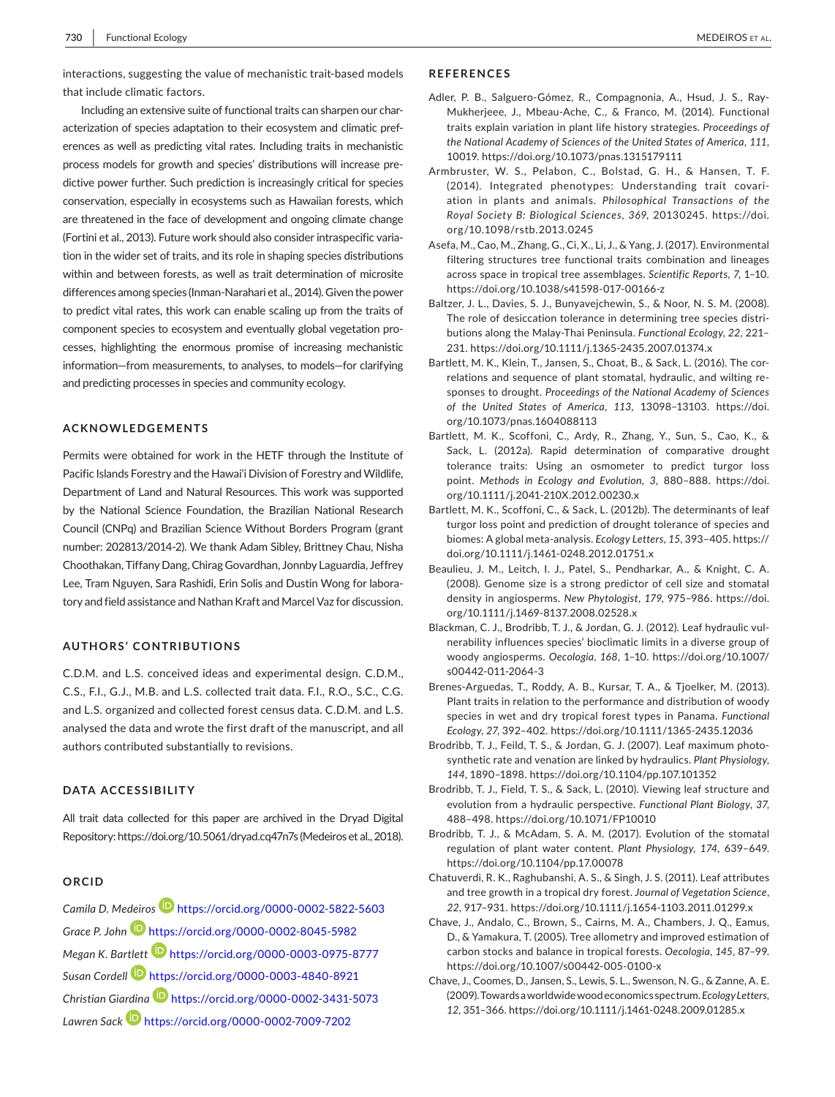interactions, suggesting the value of mechanistic trait-based models that include climatic factors.

 differences among species (Inman-Narahari et al., 2014). Given the power Including an extensive suite of functional traits can sharpen our characterization of species adaptation to their ecosystem and climatic preferences as well as predicting vital rates. Including traits in mechanistic process models for growth and species' distributions will increase predictive power further. Such prediction is increasingly critical for species conservation, especially in ecosystems such as Hawaiian forests, which are threatened in the face of development and ongoing climate change (Fortini et al., 2013). Future work should also consider intraspecific variation in the wider set of traits, and its role in shaping species distributions within and between forests, as well as trait determination of microsite to predict vital rates, this work can enable scaling up from the traits of component species to ecosystem and eventually global vegetation processes, highlighting the enormous promise of increasing mechanistic information—from measurements, to analyses, to models—for clarifying and predicting processes in species and community ecology.

#### **ACKNOWLEDGEMENTS**

 Choothakan, Tiffany Dang, Chirag Govardhan, Jonnby Laguardia, Jeffrey Permits were obtained for work in the HETF through the Institute of Pacific Islands Forestry and the Hawai'i Division of Forestry and Wildlife, Department of Land and Natural Resources. This work was supported by the National Science Foundation, the Brazilian National Research Council (CNPq) and Brazilian Science Without Borders Program (grant number: 202813/2014-2). We thank Adam Sibley, Brittney Chau, Nisha Lee, Tram Nguyen, Sara Rashidi, Erin Solis and Dustin Wong for laboratory and field assistance and Nathan Kraft and Marcel Vaz for discussion.

#### **AUTHORS' CONTRIBUTIONS**

C.D.M. and L.S. conceived ideas and experimental design. C.D.M., C.S., F.I., G.J., M.B. and L.S. collected trait data. F.I., R.O., S.C., C.G. and L.S. organized and collected forest census data. C.D.M. and L.S. analysed the data and wrote the first draft of the manuscript, and all authors contributed substantially to revisions.

#### **DATA ACCESSIBILITY**

 All trait data collected for this paper are archived in the Dryad Digital Repository: <https://doi.org/10.5061/dryad.cq47n7s> (Medeiros et al.,2018).

#### **ORCID**

 *Grace P. John* <https://orcid.org/0000-0002-8045-5982>  *Megan K. Bartlett* <https://orcid.org/0000-0003-0975-8777>  *Susan Cordell* <https://orcid.org/0000-0003-4840-8921>  *Christian Giardina* <https://orcid.org/0000-0002-3431-5073>  *Lawren Sack* <https://orcid.org/0000-0002-7009-7202> *Camila D. Medeiro[s](https://orcid.org/0000-0002-5822-5603)* <https://orcid.org/0000-0002-5822-5603>

#### **REFERENCES**

- Adler, P. B., Salguero-Gómez, R., Compagnonia, A., Hsud, J. S., Ray- Mukherjeee, J., Mbeau-Ache, C., & Franco, M. (2014). Functional traits explain variation in plant life history strategies. *Proceedings of the National Academy of Sciences of the United States of America*, *111*, 10019. <https://doi.org/10.1073/pnas.1315179111>
- Armbruster, W. S., Pelabon, C., Bolstad, G. H., & Hansen, T. F. (2014). Integrated phenotypes: Understanding trait covariation in plants and animals. *Philosophical Transactions of the Royal Society B: Biological Sciences*, *369*, 20130245. [https://doi.](https://doi.org/10.1098/rstb.2013.0245) [org/10.1098/rstb.2013.0245](https://doi.org/10.1098/rstb.2013.0245)
- Asefa, M., Cao, M., Zhang, G., Ci, X., Li, J., & Yang, J. (2017). Environmental filtering structures tree functional traits combination and lineages across space in tropical tree assemblages. *Scientific Reports*, *7*, 1–10. <https://doi.org/10.1038/s41598-017-00166-z>
- butions along the Malay-Thai Peninsula. *Functional Ecology*, *22*, 221– Baltzer, J. L., Davies, S. J., Bunyavejchewin, S., & Noor, N. S. M. (2008). The role of desiccation tolerance in determining tree species distri-231. <https://doi.org/10.1111/j.1365-2435.2007.01374.x>
- sponses to drought. *Proceedings of the National Academy of Sciences*  Bartlett, M. K., Klein, T., Jansen, S., Choat, B., & Sack, L. (2016). The correlations and sequence of plant stomatal, hydraulic, and wilting re*of the United States of America*, *113*, 13098–13103. [https://doi.](https://doi.org/10.1073/pnas.1604088113) [org/10.1073/pnas.1604088113](https://doi.org/10.1073/pnas.1604088113)
- Bartlett, M. K., Scoffoni, C., Ardy, R., Zhang, Y., Sun, S., Cao, K., & Sack, L. (2012a). Rapid determination of comparative drought tolerance traits: Using an osmometer to predict turgor loss point. *Methods in Ecology and Evolution*, *3*, 880–888. [https://doi.](https://doi.org/10.1111/j.2041-210X.2012.00230.x)  [org/10.1111/j.2041-210X.2012.00230.x](https://doi.org/10.1111/j.2041-210X.2012.00230.x)
- biomes: A global meta-analysis. *Ecology Letters*, *15*, 393–405. [https://](https://doi.org/10.1111/j.1461-0248.2012.01751.x) Bartlett, M. K., Scoffoni, C., & Sack, L. (2012b). The determinants of leaf turgor loss point and prediction of drought tolerance of species and [doi.org/10.1111/j.1461-0248.2012.01751.x](https://doi.org/10.1111/j.1461-0248.2012.01751.x)
- Beaulieu, J. M., Leitch, I. J., Patel, S., Pendharkar, A., & Knight, C. A. density in angiosperms. *New Phytologist*, *179*, 975–986. [https://doi.](https://doi.org/10.1111/j.1469-8137.2008.02528.x) (2008). Genome size is a strong predictor of cell size and stomatal [org/10.1111/j.1469-8137.2008.02528.x](https://doi.org/10.1111/j.1469-8137.2008.02528.x)
- Blackman, C. J., Brodribb, T. J., & Jordan, G. J. (2012). Leaf hydraulic vulnerability influences species' bioclimatic limits in a diverse group of woody angiosperms. *Oecologia*, *168*, 1–10. [https://doi.org/10.1007/](https://doi.org/10.1007/s00442-011-2064-3)  [s00442-011-2064-3](https://doi.org/10.1007/s00442-011-2064-3)
- Brenes-Arguedas, T., Roddy, A. B., Kursar, T. A., & Tjoelker, M. (2013). *Ecology*, *27*, 392–402. <https://doi.org/10.1111/1365-2435.12036> Plant traits in relation to the performance and distribution of woody species in wet and dry tropical forest types in Panama. *Functional*
- Brodribb, T. J., Feild, T. S., & Jordan, G. J. (2007). Leaf maximum photosynthetic rate and venation are linked by hydraulics. *Plant Physiology*, *144*, 1890–1898. <https://doi.org/10.1104/pp.107.101352>
- Brodribb, T. J., Field, T. S., & Sack, L. (2010). Viewing leaf structure and evolution from a hydraulic perspective. *Functional Plant Biology*, *37*, 488–498. <https://doi.org/10.1071/FP10010>
- Brodribb, T. J., & McAdam, S. A. M. (2017). Evolution of the stomatal regulation of plant water content. *Plant Physiology*, *174*, 639–649. <https://doi.org/10.1104/pp.17.00078>
- Chatuverdi, R. K., Raghubanshi, A. S., & Singh, J. S. (2011). Leaf attributes *22*, 917–931. <https://doi.org/10.1111/j.1654-1103.2011.01299.x> and tree growth in a tropical dry forest. *Journal of Vegetation Science*,
- Chave, J., Andalo, C., Brown, S., Cairns, M. A., Chambers, J. Q., Eamus, D., & Yamakura, T. (2005). Tree allometry and improved estimation of carbon stocks and balance in tropical forests. *Oecologia*, *145*, 87–99. <https://doi.org/10.1007/s00442-005-0100-x>
- Chave, J., Coomes, D., Jansen, S., Lewis, S. L., Swenson, N. G., & Zanne, A. E. (2009).Towardsaworldwidewoodeconomicsspectrum.*Ecology Letters*, *12*, 351–366. <https://doi.org/10.1111/j.1461-0248.2009.01285.x>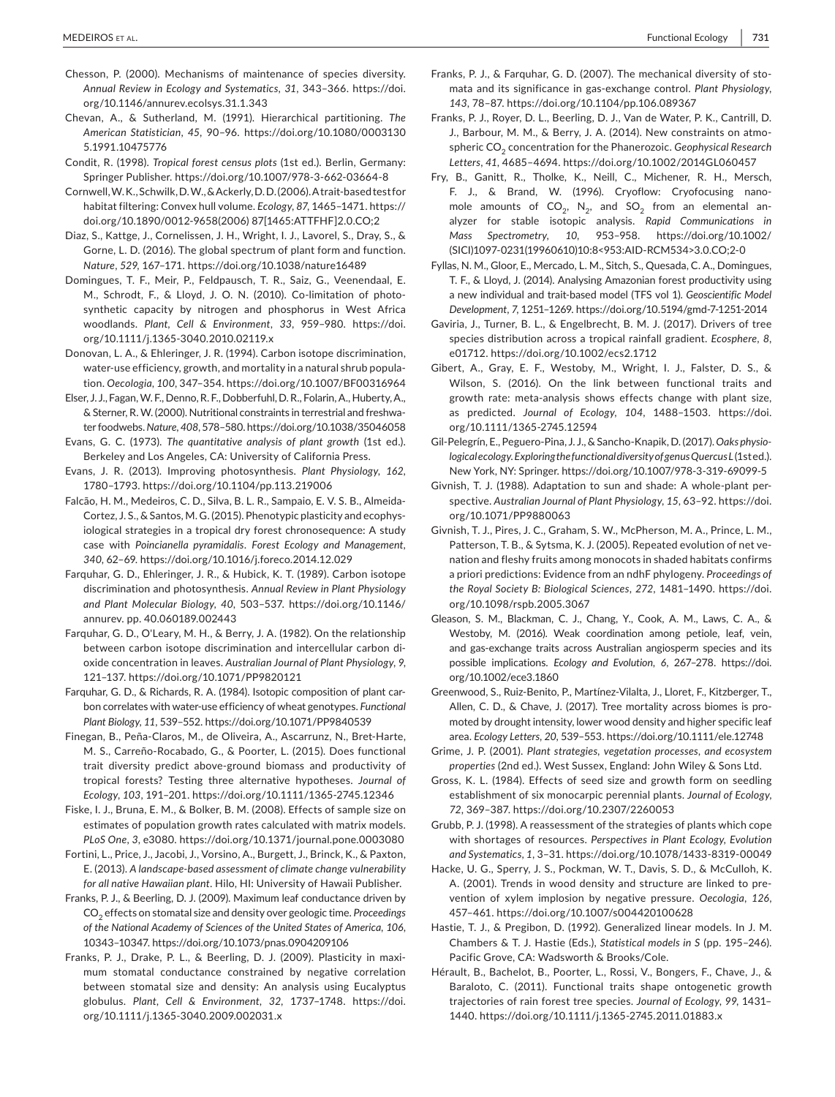- *Annual Review in Ecology and Systematics*, *31*, 343–366. [https://doi.](https://doi.org/10.1146/annurev.ecolsys.31.1.343) Chesson, P. (2000). Mechanisms of maintenance of species diversity. [org/10.1146/annurev.ecolsys.31.1.343](https://doi.org/10.1146/annurev.ecolsys.31.1.343)
- Chevan, A., & Sutherland, M. (1991). Hierarchical partitioning. *The American Statistician*, *45*, 90–96. [https://doi.org/10.1080/0003130](https://doi.org/10.1080/00031305.1991.10475776) [5.1991.10475776](https://doi.org/10.1080/00031305.1991.10475776)
- Condit, R. (1998). *Tropical forest census plots* (1st ed.). Berlin, Germany: Springer Publisher. <https://doi.org/10.1007/978-3-662-03664-8>

 Cornwell,W.K.,Schwilk,D.W.,&Ackerly,D.D.(2006).A trait-based test for habitat filtering: Convex hull volume. *Ecology*, *87*, 1465–1471. [https://](https://doi.org/10.1890/0012-9658(2006)87[1465:ATTFHF]2.0.CO;2) [doi.org/10.1890/0012-9658\(2006\)](https://doi.org/10.1890/0012-9658(2006)87[1465:ATTFHF]2.0.CO;2) 87[1465:ATTFHF]2.0.CO;2

 *Nature*, *529*, 167–171. <https://doi.org/10.1038/nature16489> Diaz, S., Kattge, J., Cornelissen, J. H., Wright, I. J., Lavorel, S., Dray, S., & Gorne, L. D. (2016). The global spectrum of plant form and function.

 M., Schrodt, F., & Lloyd, J. O. N. (2010). Co-limitation of photo- synthetic capacity by nitrogen and phosphorus in West Africa woodlands. *Plant, Cell & Environment*, *33*, 959–980. [https://doi.](https://doi.org/10.1111/j.1365-3040.2010.02119.x) Domingues, T. F., Meir, P., Feldpausch, T. R., Saiz, G., Veenendaal, E. [org/10.1111/j.1365-3040.2010.02119.x](https://doi.org/10.1111/j.1365-3040.2010.02119.x)

 Donovan, L. A., & Ehleringer, J. R. (1994). Carbon isotope discrimination, water-use efficiency, growth, and mortality in a natural shrub popula- tion. *Oecologia*, *100*, 347–354. <https://doi.org/10.1007/BF00316964>

 Elser, J. J., Fagan,W. F.,Denno,R. F.,Dobberfuhl,D.R., Folarin,A.,Huberty,A., ter foodwebs. *Nature*, *408*,578–580. <https://doi.org/10.1038/35046058> & Sterner, R. W. (2000). Nutritional constraints in terrestrial and freshwa-

 Evans, G. C. (1973). *The quantitative analysis of plant growth* (1st ed.). Berkeley and Los Angeles, CA: University of California Press.

Evans, J. R. (2013). Improving photosynthesis. *Plant Physiology*, *162*, 1780–1793. <https://doi.org/10.1104/pp.113.219006>

 Falcão, H. M., Medeiros, C. D., Silva, B. L. R., Sampaio, E. V. S. B., Almeida- Cortez, J. S., & Santos, M. G. (2015). Phenotypic plasticity and ecophys- iological strategies in a tropical dry forest chronosequence: A study *340*, 62–69. <https://doi.org/10.1016/j.foreco.2014.12.029> case with *Poincianella pyramidalis*. *Forest Ecology and Management*,

 Farquhar, G. D., Ehleringer, J. R., & Hubick, K. T. (1989). Carbon isotope *and Plant Molecular Biology*, *40*, 503–537. [https://doi.org/10.1146/](https://doi.org/10.1146/annurev.pp. 40.060189.002443) annurev. pp. [40.060189.002443](https://doi.org/10.1146/annurev.pp. 40.060189.002443) discrimination and photosynthesis. *Annual Review in Plant Physiology* 

 Farquhar, G. D., O'Leary, M. H., & Berry, J. A. (1982). On the relationship between carbon isotope discrimination and intercellular carbon dioxide concentration in leaves. *Australian Journal of Plant Physiology*, *9*, 121–137. <https://doi.org/10.1071/PP9820121>

 Farquhar, G. D., & Richards, R. A. (1984). Isotopic composition of plant car- bon correlates with water-use efficiency of wheat genotypes. *Functional Plant Biology*, *11*, 539–552. <https://doi.org/10.1071/PP9840539>

 Finegan, B., Peña-Claros, M., de Oliveira, A., Ascarrunz, N., Bret-Harte, M. S., Carreño-Rocabado, G., & Poorter, L. (2015). Does functional trait diversity predict above-ground biomass and productivity of *Ecology*, *103*, 191–201. <https://doi.org/10.1111/1365-2745.12346> tropical forests? Testing three alternative hypotheses. *Journal of* 

Fiske, I. J., Bruna, E. M., & Bolker, B. M. (2008). Effects of sample size on estimates of population growth rates calculated with matrix models. *PLoS One*, *3*, e3080.<https://doi.org/10.1371/journal.pone.0003080>

 Fortini, L., Price, J., Jacobi, J., Vorsino, A., Burgett, J., Brinck, K., & Paxton, E. (2013). *A landscape-based assessment of climate change vulnerability for all native Hawaiian plant*. Hilo, HI: University of Hawaii Publisher.

 Franks, P. J., & Beerling, D. J. (2009). Maximum leaf conductance driven by CO2 effects on stomatal size and density over geologic time. *Proceedings of the National Academy of Sciences of the United States of America*, *106*, 10343–10347. <https://doi.org/10.1073/pnas.0904209106>

 Franks, P. J., Drake, P. L., & Beerling, D. J. (2009). Plasticity in maxi- between stomatal size and density: An analysis using Eucalyptus mum stomatal conductance constrained by negative correlation globulus. *Plant, Cell & Environment*, *32*, 1737–1748. [https://doi.](https://doi.org/10.1111/j.1365-3040.2009.002031.x) [org/10.1111/j.1365-3040.2009.002031.x](https://doi.org/10.1111/j.1365-3040.2009.002031.x)

- mata and its significance in gas-exchange control. *Plant Physiology*, *143*, 78–87. <https://doi.org/10.1104/pp.106.089367> Franks, P. J., & Farquhar, G. D. (2007). The mechanical diversity of sto-
- J., Barbour, M. M., & Berry, J. A. (2014). New constraints on atmo-Franks, P. J., Royer, D. L., Beerling, D. J., Van de Water, P. K., Cantrill, D. spheric CO<sub>2</sub> concentration for the Phanerozoic. Geophysical Research *Letters*, *41*, 4685–4694. <https://doi.org/10.1002/2014GL060457>

 F. J., & Brand, W. (1996). Cryoflow: Cryofocusing nano-Fry, B., Ganitt, R., Tholke, K., Neill, C., Michener, R. H., Mersch, mole amounts of  $CO_2$ , N<sub>2</sub>, and  $SO_2$  from an elemental analyzer for stable isotopic analysis. *Rapid Communications in Mass Spectrometry*, *10*, 953–958. [https://doi.org/10.1002/](https://doi.org/10.1002/(SICI)1097-0231(19960610)10:8%3c953:AID-RCM534%3e3.0.CO;2-0) [\(SICI\)1097-0231\(19960610\)10:8<953:AID-RCM534>3.0.CO;2-0](https://doi.org/10.1002/(SICI)1097-0231(19960610)10:8%3c953:AID-RCM534%3e3.0.CO;2-0)

 Fyllas, N. M., Gloor, E., Mercado, L. M., Sitch, S., Quesada, C. A., Domingues, T. F., & Lloyd, J. (2014). Analysing Amazonian forest productivity using a new individual and trait-based model (TFS vol 1). *Geoscientific Model Development*, *7*, 1251–1269. <https://doi.org/10.5194/gmd-7-1251-2014>

Gaviria, J., Turner, B. L., & Engelbrecht, B. M. J. (2017). Drivers of tree species distribution across a tropical rainfall gradient. *Ecosphere*, *8*, e01712.<https://doi.org/10.1002/ecs2.1712>

 Gibert, A., Gray, E. F., Westoby, M., Wright, I. J., Falster, D. S., & growth rate: meta-analysis shows effects change with plant size, Wilson, S. (2016). On the link between functional traits and as predicted. *Journal of Ecology*, *104*, 1488–1503. [https://doi.](https://doi.org/10.1111/1365-2745.12594) [org/10.1111/1365-2745.12594](https://doi.org/10.1111/1365-2745.12594)

 Gil-Pelegrín, E., Peguero-Pina, J. J., & Sancho-Knapik,D. (2017). *Oaks physio-* New York, NY: Springer. <https://doi.org/10.1007/978-3-319-69099-5> *logical ecology.Exploring thefunctional diversity of genus Quercus L* (1st ed.).

 Givnish, T. J. (1988). Adaptation to sun and shade: A whole-plant per- spective. *Australian Journal of Plant Physiology*, *15*, 63–92. [https://doi.](https://doi.org/10.1071/PP9880063) [org/10.1071/PP9880063](https://doi.org/10.1071/PP9880063)

 Givnish, T. J., Pires, J. C., Graham, S. W., McPherson, M. A., Prince, L. M., Patterson, T. B., & Sytsma, K. J. (2005). Repeated evolution of net venation and fleshy fruits among monocots in shaded habitats confirms a priori predictions: Evidence from an ndhF phylogeny. *Proceedings of the Royal Society B: Biological Sciences*, *272*, 1481–1490. [https://doi.](https://doi.org/10.1098/rspb.2005.3067) [org/10.1098/rspb.2005.3067](https://doi.org/10.1098/rspb.2005.3067)

 Gleason, S. M., Blackman, C. J., Chang, Y., Cook, A. M., Laws, C. A., & and gas-exchange traits across Australian angiosperm species and its Westoby, M. (2016). Weak coordination among petiole, leaf, vein, possible implications. *Ecology and Evolution*, *6*, 267–278. [https://doi.](https://doi.org/10.1002/ece3.1860) [org/10.1002/ece3.1860](https://doi.org/10.1002/ece3.1860)

 Greenwood, S., Ruiz-Benito, P., Martínez-Vilalta, J., Lloret, F., Kitzberger, T., Allen, C. D., & Chave, J. (2017). Tree mortality across biomes is pro- area. *Ecology Letters*, *20*, 539–553. <https://doi.org/10.1111/ele.12748> moted by drought intensity, lower wood density and higher specific leaf

Grime, J. P. (2001). *Plant strategies, vegetation processes, and ecosystem properties* (2nd ed.). West Sussex, England: John Wiley & Sons Ltd.

 Gross, K. L. (1984). Effects of seed size and growth form on seedling *72*, 369–387. <https://doi.org/10.2307/2260053> establishment of six monocarpic perennial plants. *Journal of Ecology*,

 Grubb, P. J. (1998). A reassessment of the strategies of plants which cope *and Systematics*, *1*, 3–31. <https://doi.org/10.1078/1433-8319-00049> with shortages of resources. *Perspectives in Plant Ecology, Evolution* 

 A. (2001). Trends in wood density and structure are linked to pre-Hacke, U. G., Sperry, J. S., Pockman, W. T., Davis, S. D., & McCulloh, K. vention of xylem implosion by negative pressure. *Oecologia*, *126*, 457–461. <https://doi.org/10.1007/s004420100628>

 Hastie, T. J., & Pregibon, D. (1992). Generalized linear models. In J. M. Chambers & T. J. Hastie (Eds.), *Statistical models in S* (pp. 195–246). Pacific Grove, CA: Wadsworth & Brooks/Cole.

Hérault, B., Bachelot, B., Poorter, L., Rossi, V., Bongers, F., Chave, J., & Baraloto, C. (2011). Functional traits shape ontogenetic growth trajectories of rain forest tree species. *Journal of Ecology*, *99*, 1431– 1440. <https://doi.org/10.1111/j.1365-2745.2011.01883.x>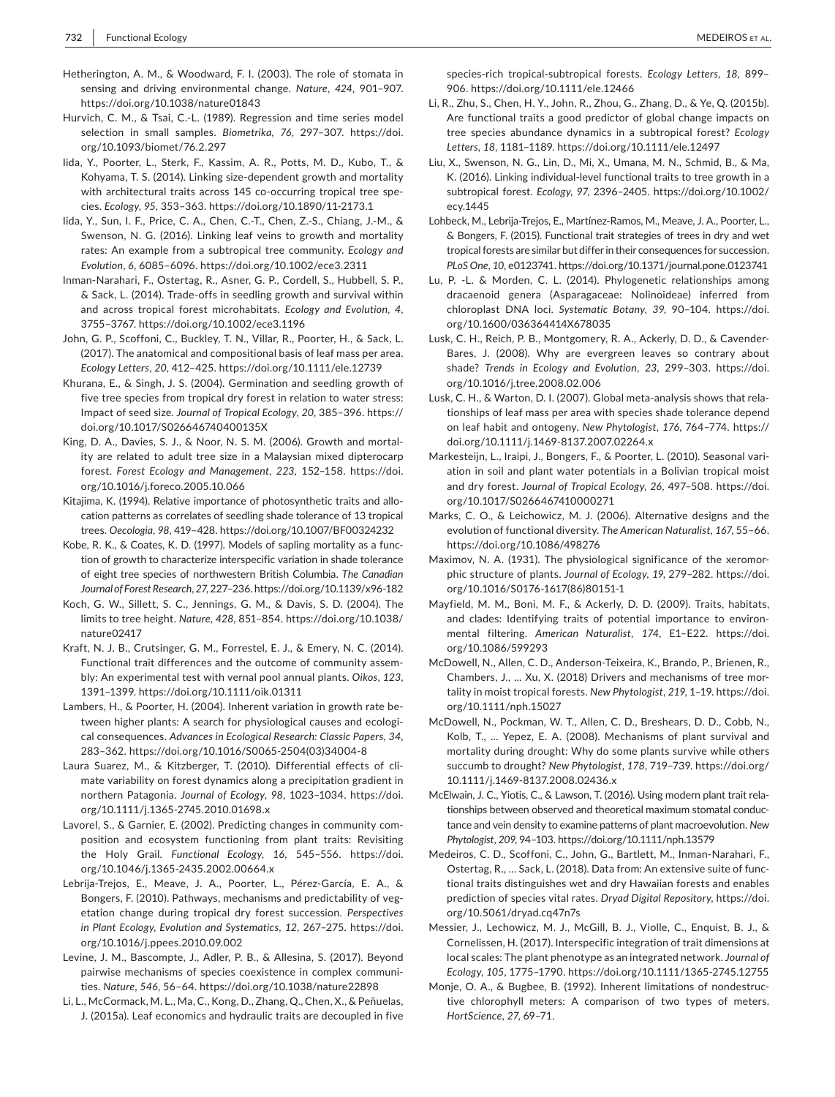- Hetherington, A. M., & Woodward, F. I. (2003). The role of stomata in sensing and driving environmental change. *Nature*, *424*, 901–907. <https://doi.org/10.1038/nature01843>
- Hurvich, C. M., & Tsai, C.-L. (1989). Regression and time series model selection in small samples. *Biometrika*, *76*, 297–307. [https://doi.](https://doi.org/10.1093/biomet/76.2.297) [org/10.1093/biomet/76.2.297](https://doi.org/10.1093/biomet/76.2.297)
- Iida, Y., Poorter, L., Sterk, F., Kassim, A. R., Potts, M. D., Kubo, T., & Kohyama, T. S. (2014). Linking size-dependent growth and mortality with architectural traits across 145 co-occurring tropical tree spe- cies. *Ecology*, *95*, 353–363. <https://doi.org/10.1890/11-2173.1>
- Iida, Y., Sun, I. F., Price, C. A., Chen, C.-T., Chen, Z.-S., Chiang, J.-M., & rates: An example from a subtropical tree community. *Ecology and*  Swenson, N. G. (2016). Linking leaf veins to growth and mortality *Evolution*, *6*, 6085–6096. <https://doi.org/10.1002/ece3.2311>
- Inman-Narahari, F., Ostertag, R., Asner, G. P., Cordell, S., Hubbell, S. P., & Sack, L. (2014). Trade-offs in seedling growth and survival within and across tropical forest microhabitats. *Ecology and Evolution*, *4*, 3755–3767. <https://doi.org/10.1002/ece3.1196>
- *Ecology Letters*, *20*, 412–425. <https://doi.org/10.1111/ele.12739> John, G. P., Scoffoni, C., Buckley, T. N., Villar, R., Poorter, H., & Sack, L. (2017). The anatomical and compositional basis of leaf mass per area.
- Khurana, E., & Singh, J. S. (2004). Germination and seedling growth of  Impact of seed size. *Journal of Tropical Ecology*, *20*, 385–396. [https://](https://doi.org/10.1017/S026646740400135X) five tree species from tropical dry forest in relation to water stress: [doi.org/10.1017/S026646740400135X](https://doi.org/10.1017/S026646740400135X)
- King, D. A., Davies, S. J., & Noor, N. S. M. (2006). Growth and mortal- forest. *Forest Ecology and Management*, *223*, 152–158. [https://doi.](https://doi.org/10.1016/j.foreco.2005.10.066) ity are related to adult tree size in a Malaysian mixed dipterocarp [org/10.1016/j.foreco.2005.10.066](https://doi.org/10.1016/j.foreco.2005.10.066)
- Kitajima, K. (1994). Relative importance of photosynthetic traits and allo- trees. *Oecologia*, *98*, 419–428. <https://doi.org/10.1007/BF00324232> cation patterns as correlates of seedling shade tolerance of 13 tropical
- Kobe, R. K., & Coates, K. D. (1997). Models of sapling mortality as a func- *Journal of Forest Research*, *27*,227–236. <https://doi.org/10.1139/x96-182> tion of growth to characterize interspecific variation in shade tolerance of eight tree species of northwestern British Columbia. *The Canadian*
- Koch, G. W., Sillett, S. C., Jennings, G. M., & Davis, S. D. (2004). The limits to tree height. *Nature*, *428*, 851–854. [https://doi.org/10.1038/](https://doi.org/10.1038/nature02417) [nature02417](https://doi.org/10.1038/nature02417)
- Kraft, N. J. B., Crutsinger, G. M., Forrestel, E. J., & Emery, N. C. (2014). bly: An experimental test with vernal pool annual plants. *Oikos*, *123*, Functional trait differences and the outcome of community assem-1391–1399. <https://doi.org/10.1111/oik.01311>
- Lambers, H., & Poorter, H. (2004). Inherent variation in growth rate be- tween higher plants: A search for physiological causes and ecological consequences. *Advances in Ecological Research: Classic Papers*, *34*, 283–362. [https://doi.org/10.1016/S0065-2504\(03\)34004-8](https://doi.org/10.1016/S0065-2504(03)34004-8)
- Laura Suarez, M., & Kitzberger, T. (2010). Differential effects of climate variability on forest dynamics along a precipitation gradient in northern Patagonia. *Journal of Ecology*, *98*, 1023–1034. [https://doi.](https://doi.org/10.1111/j.1365-2745.2010.01698.x) [org/10.1111/j.1365-2745.2010.01698.x](https://doi.org/10.1111/j.1365-2745.2010.01698.x)
- the Holy Grail. *Functional Ecology*, *16*, 545–556. [https://doi.](https://doi.org/10.1046/j.1365-2435.2002.00664.x) Lavorel, S., & Garnier, E. (2002). Predicting changes in community composition and ecosystem functioning from plant traits: Revisiting [org/10.1046/j.1365-2435.2002.00664.x](https://doi.org/10.1046/j.1365-2435.2002.00664.x)
- Lebrija-Trejos, E., Meave, J. A., Poorter, L., Pérez-García, E. A., & *in Plant Ecology, Evolution and Systematics*, *12*, 267–275. [https://doi.](https://doi.org/10.1016/j.ppees.2010.09.002) Bongers, F. (2010). Pathways, mechanisms and predictability of vegetation change during tropical dry forest succession. *Perspectives*  [org/10.1016/j.ppees.2010.09.002](https://doi.org/10.1016/j.ppees.2010.09.002)
- Levine, J. M., Bascompte, J., Adler, P. B., & Allesina, S. (2017). Beyond ties. *Nature*, *546*, 56–64. <https://doi.org/10.1038/nature22898> pairwise mechanisms of species coexistence in complex communi-
- Li, L., McCormack, M. L., Ma, C., Kong, D., Zhang, Q., Chen, X., & Peñuelas, J. (2015a). Leaf economics and hydraulic traits are decoupled in five

 species-rich tropical-subtropical forests. *Ecology Letters*, *18*, 899– 906. <https://doi.org/10.1111/ele.12466>

- Li, R., Zhu, S., Chen, H. Y., John, R., Zhou, G., Zhang, D., & Ye, Q. (2015b). Are functional traits a good predictor of global change impacts on tree species abundance dynamics in a subtropical forest? *Ecology Letters*, *18*, 1181–1189. <https://doi.org/10.1111/ele.12497>
- Liu, X., Swenson, N. G., Lin, D., Mi, X., Umana, M. N., Schmid, B., & Ma, K. (2016). Linking individual-level functional traits to tree growth in a subtropical forest. *Ecology*, *97*, 2396–2405. [https://doi.org/10.1002/](https://doi.org/10.1002/ecy.1445) [ecy.1445](https://doi.org/10.1002/ecy.1445)
- Lohbeck, M., Lebrija-Trejos, E., Martínez-Ramos, M., Meave, J. A., Poorter, L., & Bongers, F. (2015). Functional trait strategies of trees in dry and wet *PLoS One*, *10*, e0123741. <https://doi.org/10.1371/journal.pone.0123741> tropical forests are similar but differ in their consequences for succession.
- Lu, P. -L. & Morden, C. L. (2014). Phylogenetic relationships among dracaenoid genera (Asparagaceae: Nolinoideae) inferred from chloroplast DNA loci. *Systematic Botany*, *39*, 90–104. [https://doi.](https://doi.org/10.1600/036364414X678035) [org/10.1600/036364414X678035](https://doi.org/10.1600/036364414X678035)
- Lusk, C. H., Reich, P. B., Montgomery, R. A., Ackerly, D. D., & Cavender- shade? *Trends in Ecology and Evolution*, *23*, 299–303. [https://doi.](https://doi.org/10.1016/j.tree.2008.02.006) Bares, J. (2008). Why are evergreen leaves so contrary about [org/10.1016/j.tree.2008.02.006](https://doi.org/10.1016/j.tree.2008.02.006)
- Lusk, C. H., & Warton, D. I. (2007). Global meta-analysis shows that rela- on leaf habit and ontogeny. *New Phytologist*, *176*, 764–774. [https://](https://doi.org/10.1111/j.1469-8137.2007.02264.x) tionships of leaf mass per area with species shade tolerance depend [doi.org/10.1111/j.1469-8137.2007.02264.x](https://doi.org/10.1111/j.1469-8137.2007.02264.x)
- and dry forest. *Journal of Tropical Ecology*, *26*, 497–508. [https://doi.](https://doi.org/10.1017/S0266467410000271) Markesteijn, L., Iraipi, J., Bongers, F., & Poorter, L. (2010). Seasonal variation in soil and plant water potentials in a Bolivian tropical moist [org/10.1017/S0266467410000271](https://doi.org/10.1017/S0266467410000271)
- Marks, C. O., & Leichowicz, M. J. (2006). Alternative designs and the evolution of functional diversity. *The American Naturalist*, *167*, 55–66. <https://doi.org/10.1086/498276>
- Maximov, N. A. (1931). The physiological significance of the xeromor- phic structure of plants. *Journal of Ecology*, *19*, 279–282. [https://doi.](https://doi.org/10.1016/S0176-1617(86)80151-1) [org/10.1016/S0176-1617\(86\)80151-1](https://doi.org/10.1016/S0176-1617(86)80151-1)
- Mayfield, M. M., Boni, M. F., & Ackerly, D. D. (2009). Traits, habitats, and clades: Identifying traits of potential importance to environmental filtering. *American Naturalist*, *174*, E1–E22. [https://doi.](https://doi.org/10.1086/599293)  [org/10.1086/599293](https://doi.org/10.1086/599293)
- McDowell, N., Allen, C. D., Anderson-Teixeira, K., Brando, P., Brienen, R., Chambers, J., ... Xu, X. (2018) Drivers and mechanisms of tree mor- tality in moist tropical forests. *New Phytologist*, *219*, 1–19. [https://doi.](https://doi.org/10.1111/nph.15027) [org/10.1111/nph.15027](https://doi.org/10.1111/nph.15027)
- McDowell, N., Pockman, W. T., Allen, C. D., Breshears, D. D., Cobb, N., Kolb, T., ... Yepez, E. A. (2008). Mechanisms of plant survival and succumb to drought? *New Phytologist*, *178*, 719–739. [https://doi.org/](https://doi.org/10.1111/j.1469-8137.2008.02436.x) mortality during drought: Why do some plants survive while others [10.1111/j.1469-8137.2008.02436.x](https://doi.org/10.1111/j.1469-8137.2008.02436.x)
- McElwain, J. C., Yiotis, C., & Lawson, T. (2016). Using modern plant trait rela- *Phytologist*, *209*, 94–103. <https://doi.org/10.1111/nph.13579> tionships between observed and theoretical maximum stomatal conductance and vein density to examine patterns of plant macroevolution. *New*
- Medeiros, C. D., Scoffoni, C., John, G., Bartlett, M., Inman-Narahari, F., Ostertag, R., … Sack, L. (2018). Data from: An extensive suite of functional traits distinguishes wet and dry Hawaiian forests and enables prediction of species vital rates. *Dryad Digital Repository*, [https://doi.](https://doi.org/10.5061/dryad.cq47n7s)  [org/10.5061/dryad.cq47n7s](https://doi.org/10.5061/dryad.cq47n7s)
- Messier, J., Lechowicz, M. J., McGill, B. J., Violle, C., Enquist, B. J., & Cornelissen, H. (2017). Interspecific integration of trait dimensions at local scales: The plant phenotype as an integrated network. *Journal of Ecology*, *105*, 1775–1790. <https://doi.org/10.1111/1365-2745.12755>
- Monje, O. A., & Bugbee, B. (1992). Inherent limitations of nondestruc- tive chlorophyll meters: A comparison of two types of meters. *HortScience*, *27*, 69–71.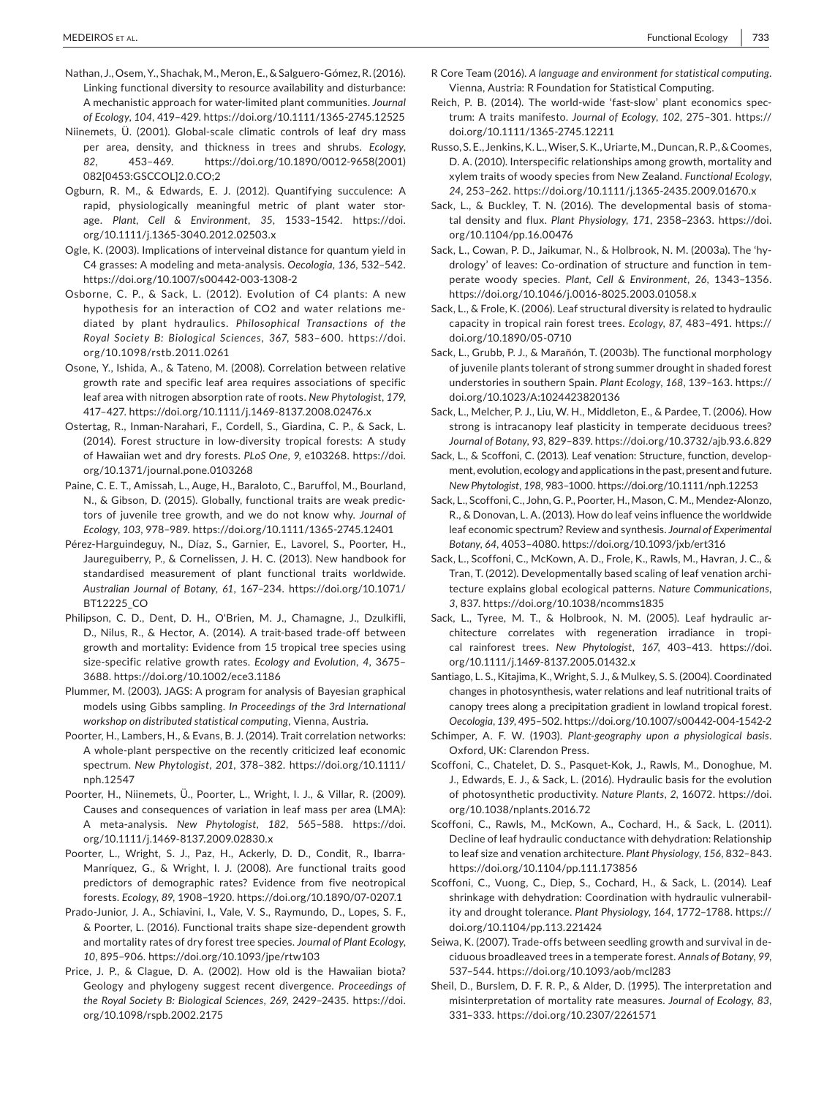- Nathan, J., Osem, Y., Shachak, M., Meron, E., & Salguero-Gómez,R. (2016). A mechanistic approach for water-limited plant communities. *Journal of Ecology*, *104*, 419–429. <https://doi.org/10.1111/1365-2745.12525> Linking functional diversity to resource availability and disturbance:
- Niinemets, Ü. (2001). Global-scale climatic controls of leaf dry mass per area, density, and thickness in trees and shrubs. *Ecology*, *82*, 453–469. [https://doi.org/10.1890/0012-9658\(2001\)](https://doi.org/10.1890/0012-9658(2001)082[0453:GSCCOL]2.0.CO;2) [082\[0453:GSCCOL\]2.0.CO;2](https://doi.org/10.1890/0012-9658(2001)082[0453:GSCCOL]2.0.CO;2)
- Ogburn, R. M., & Edwards, E. J. (2012). Quantifying succulence: A rapid, physiologically meaningful metric of plant water storage. *Plant, Cell & Environment*, *35*, 1533–1542. [https://doi.](https://doi.org/10.1111/j.1365-3040.2012.02503.x) [org/10.1111/j.1365-3040.2012.02503.x](https://doi.org/10.1111/j.1365-3040.2012.02503.x)
- C4 grasses: A modeling and meta-analysis. *Oecologia*, *136*, 532–542. Ogle, K. (2003). Implications of interveinal distance for quantum yield in <https://doi.org/10.1007/s00442-003-1308-2>
- Osborne, C. P., & Sack, L. (2012). Evolution of C4 plants: A new *Royal Society B: Biological Sciences*, *367*, 583–600. [https://doi.](https://doi.org/10.1098/rstb.2011.0261) hypothesis for an interaction of CO2 and water relations mediated by plant hydraulics. *Philosophical Transactions of the*  [org/10.1098/rstb.2011.0261](https://doi.org/10.1098/rstb.2011.0261)
- Osone, Y., Ishida, A., & Tateno, M. (2008). Correlation between relative growth rate and specific leaf area requires associations of specific leaf area with nitrogen absorption rate of roots. *New Phytologist*, *179*, 417–427. <https://doi.org/10.1111/j.1469-8137.2008.02476.x>
- Ostertag, R., Inman-Narahari, F., Cordell, S., Giardina, C. P., & Sack, L. (2014). Forest structure in low-diversity tropical forests: A study of Hawaiian wet and dry forests. *PLoS One*, *9*, e103268. [https://doi.](https://doi.org/10.1371/journal.pone.0103268) [org/10.1371/journal.pone.0103268](https://doi.org/10.1371/journal.pone.0103268)
- Paine, C. E. T., Amissah, L., Auge, H., Baraloto, C., Baruffol, M., Bourland, N., & Gibson, D. (2015). Globally, functional traits are weak predic- *Ecology*, *103*, 978–989. <https://doi.org/10.1111/1365-2745.12401> tors of juvenile tree growth, and we do not know why. *Journal of*
- Pérez-Harguindeguy, N., Díaz, S., Garnier, E., Lavorel, S., Poorter, H., *Australian Journal of Botany*, *61*, 167–234. [https://doi.org/10.1071/](https://doi.org/10.1071/BT12225_CO) Jaureguiberry, P., & Cornelissen, J. H. C. (2013). New handbook for standardised measurement of plant functional traits worldwide. [BT12225\\_CO](https://doi.org/10.1071/BT12225_CO)
- D., Nilus, R., & Hector, A. (2014). A trait-based trade-off between growth and mortality: Evidence from 15 tropical tree species using size-specific relative growth rates. *Ecology and Evolution*, *4*, 3675– Philipson, C. D., Dent, D. H., O'Brien, M. J., Chamagne, J., Dzulkifli, 3688.<https://doi.org/10.1002/ece3.1186>
- Plummer, M. (2003). JAGS: A program for analysis of Bayesian graphical models using Gibbs sampling. *In Proceedings of the 3rd International workshop on distributed statistical computing*, Vienna, Austria.
- Poorter, H., Lambers, H., & Evans, B. J. (2014). Trait correlation networks: A whole-plant perspective on the recently criticized leaf economic spectrum. *New Phytologist*, *201*, 378–382. [https://doi.org/10.1111/](https://doi.org/10.1111/nph.12547) [nph.12547](https://doi.org/10.1111/nph.12547)
- Poorter, H., Niinemets, Ü., Poorter, L., Wright, I. J., & Villar, R. (2009). Causes and consequences of variation in leaf mass per area (LMA): A meta-analysis. *New Phytologist*, *182*, 565–588. [https://doi.](https://doi.org/10.1111/j.1469-8137.2009.02830.x) [org/10.1111/j.1469-8137.2009.02830.x](https://doi.org/10.1111/j.1469-8137.2009.02830.x)
- Poorter, L., Wright, S. J., Paz, H., Ackerly, D. D., Condit, R., Ibarra- Manríquez, G., & Wright, I. J. (2008). Are functional traits good predictors of demographic rates? Evidence from five neotropical forests. *Ecology*, *89*, 1908–1920. <https://doi.org/10.1890/07-0207.1>
- Prado-Junior, J. A., Schiavini, I., Vale, V. S., Raymundo, D., Lopes, S. F., & Poorter, L. (2016). Functional traits shape size-dependent growth *10*, 895–906. <https://doi.org/10.1093/jpe/rtw103> and mortality rates of dry forest tree species. *Journal of Plant Ecology*,
- Price, J. P., & Clague, D. A. (2002). How old is the Hawaiian biota? Geology and phylogeny suggest recent divergence. *Proceedings of the Royal Society B: Biological Sciences*, *269*, 2429–2435. [https://doi.](https://doi.org/10.1098/rspb.2002.2175) [org/10.1098/rspb.2002.2175](https://doi.org/10.1098/rspb.2002.2175)
- Vienna, Austria: R Foundation for Statistical Computing. R Core Team (2016). *A language and environment for statistical computing*.
- Reich, P. B. (2014). The world-wide 'fast-slow' plant economics spec- trum: A traits manifesto. *Journal of Ecology*, *102*, 275–301. [https://](https://doi.org/10.1111/1365-2745.12211) [doi.org/10.1111/1365-2745.12211](https://doi.org/10.1111/1365-2745.12211)
- D. A. (2010). Interspecific relationships among growth, mortality and *24*, 253–262. <https://doi.org/10.1111/j.1365-2435.2009.01670.x> Russo, S. E., Jenkins, K. L., Wiser, S. K., Uriarte, M., Duncan, R. P., & Coomes, xylem traits of woody species from New Zealand. *Functional Ecology*,
- Sack, L., & Buckley, T. N. (2016). The developmental basis of stomatal density and flux. *Plant Physiology*, *171*, 2358–2363. [https://doi.](https://doi.org/10.1104/pp.16.00476) [org/10.1104/pp.16.00476](https://doi.org/10.1104/pp.16.00476)
- Sack, L., Cowan, P. D., Jaikumar, N., & Holbrook, N. M. (2003a). The 'hy- drology' of leaves: Co-ordination of structure and function in tem- perate woody species. *Plant, Cell & Environment*, *26*, 1343–1356. <https://doi.org/10.1046/j.0016-8025.2003.01058.x>
- capacity in tropical rain forest trees. *Ecology*, *87*, 483–491. [https://](https://doi.org/10.1890/05-0710) Sack, L., & Frole, K. (2006). Leaf structural diversity is related to hydraulic [doi.org/10.1890/05-0710](https://doi.org/10.1890/05-0710)
- understories in southern Spain. *Plant Ecology*, *168*, 139–163. [https://](https://doi.org/10.1023/A:1024423820136) Sack, L., Grubb, P. J., & Marañón, T. (2003b). The functional morphology of juvenile plants tolerant of strong summer drought in shaded forest [doi.org/10.1023/A:1024423820136](https://doi.org/10.1023/A:1024423820136)
- *Journal of Botany*, *93*, 829–839. <https://doi.org/10.3732/ajb.93.6.829> Sack, L., Melcher, P. J., Liu, W. H., Middleton, E., & Pardee, T. (2006). How strong is intracanopy leaf plasticity in temperate deciduous trees?
- *New Phytologist*, *198*, 983–1000. <https://doi.org/10.1111/nph.12253> Sack, L., & Scoffoni, C. (2013). Leaf venation: Structure, function, development, evolution, ecology and applications in the past, present and future.
- Sack, L., Scoffoni, C., John, G. P., Poorter, H., Mason, C. M., Mendez-Alonzo, R., & Donovan, L. A. (2013). How do leaf veins influence the worldwide leaf economic spectrum? Review and synthesis. *Journal of Experimental Botany*, *64*, 4053–4080. <https://doi.org/10.1093/jxb/ert316>
- Sack, L., Scoffoni, C., McKown, A. D., Frole, K., Rawls, M., Havran, J. C., & *3*, 837. <https://doi.org/10.1038/ncomms1835> Tran, T. (2012). Developmentally based scaling of leaf venation architecture explains global ecological patterns. *Nature Communications*,
- Sack, L., Tyree, M. T., & Holbrook, N. M. (2005). Leaf hydraulic ar- chitecture correlates with regeneration irradiance in tropi- cal rainforest trees. *New Phytologist*, *167*, 403–413. [https://doi.](https://doi.org/10.1111/j.1469-8137.2005.01432.x) [org/10.1111/j.1469-8137.2005.01432.x](https://doi.org/10.1111/j.1469-8137.2005.01432.x)
- Santiago, L. S., Kitajima, K., Wright, S. J., & Mulkey, S. S. (2004). Coordinated *Oecologia*, *139*, 495–502. <https://doi.org/10.1007/s00442-004-1542-2> changes in photosynthesis, water relations and leaf nutritional traits of canopy trees along a precipitation gradient in lowland tropical forest.
- Schimper, A. F. W. (1903). *Plant-geography upon a physiological basis*. Oxford, UK: Clarendon Press.
- Scoffoni, C., Chatelet, D. S., Pasquet-Kok, J., Rawls, M., Donoghue, M. J., Edwards, E. J., & Sack, L. (2016). Hydraulic basis for the evolution of photosynthetic productivity. *Nature Plants*, *2*, 16072. [https://doi.](https://doi.org/10.1038/nplants.2016.72) [org/10.1038/nplants.2016.72](https://doi.org/10.1038/nplants.2016.72)
- Scoffoni, C., Rawls, M., McKown, A., Cochard, H., & Sack, L. (2011). to leaf size and venation architecture. *Plant Physiology*, *156*, 832–843. Decline of leaf hydraulic conductance with dehydration: Relationship <https://doi.org/10.1104/pp.111.173856>
- Scoffoni, C., Vuong, C., Diep, S., Cochard, H., & Sack, L. (2014). Leaf shrinkage with dehydration: Coordination with hydraulic vulnerability and drought tolerance. *Plant Physiology*, *164*, 1772–1788. [https://](https://doi.org/10.1104/pp.113.221424) [doi.org/10.1104/pp.113.221424](https://doi.org/10.1104/pp.113.221424)
- Seiwa, K. (2007). Trade-offs between seedling growth and survival in deciduous broadleaved trees in a temperate forest. *Annals of Botany*, *99*, 537–544. <https://doi.org/10.1093/aob/mcl283>
- Sheil, D., Burslem, D. F. R. P., & Alder, D. (1995). The interpretation and misinterpretation of mortality rate measures. *Journal of Ecology*, *83*, 331–333. <https://doi.org/10.2307/2261571>